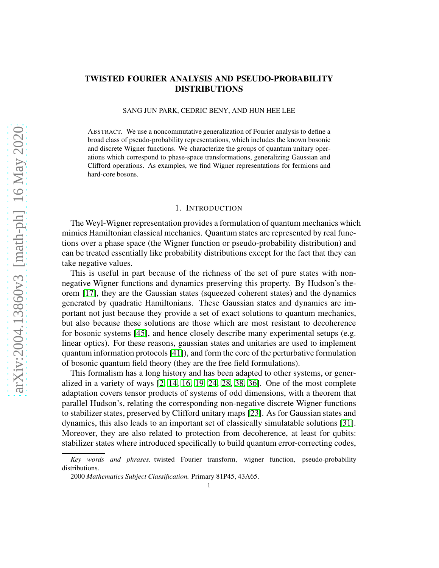# arXiv:2004.13860v3 [math-ph] 16 May 2020 [arXiv:2004.13860v3 \[math-ph\] 16 May 2020](http://arxiv.org/abs/2004.13860v3)

# TWISTED FOURIER ANALYSIS AND PSEUDO-PROBABILITY DISTRIBUTIONS

SANG JUN PARK, CEDRIC BENY, AND HUN HEE LEE

ABSTRACT. We use a noncommutative generalization of Fourier analysis to define a broad class of pseudo-probability representations, which includes the known bosonic and discrete Wigner functions. We characterize the groups of quantum unitary operations which correspond to phase-space transformations, generalizing Gaussian and Clifford operations. As examples, we find Wigner representations for fermions and hard-core bosons.

# 1. INTRODUCTION

The Weyl-Wigner representation provides a formulation of quantum mechanics which mimics Hamiltonian classical mechanics. Quantum states are represented by real functions over a phase space (the Wigner function or pseudo-probability distribution) and can be treated essentially like probability distributions except for the fact that they can take negative values.

This is useful in part because of the richness of the set of pure states with nonnegative Wigner functions and dynamics preserving this property. By Hudson's theorem [\[17\]](#page-31-0), they are the Gaussian states (squeezed coherent states) and the dynamics generated by quadratic Hamiltonians. These Gaussian states and dynamics are important not just because they provide a set of exact solutions to quantum mechanics, but also because these solutions are those which are most resistant to decoherence for bosonic systems [\[45\]](#page-32-0), and hence closely describe many experimental setups (e.g. linear optics). For these reasons, gaussian states and unitaries are used to implement quantum information protocols [\[41\]](#page-32-1)), and form the core of the perturbative formulation of bosonic quantum field theory (they are the free field formulations).

This formalism has a long history and has been adapted to other systems, or generalized in a variety of ways  $[2, 14, 16, 19, 24, 28, 38, 36]$  $[2, 14, 16, 19, 24, 28, 38, 36]$  $[2, 14, 16, 19, 24, 28, 38, 36]$  $[2, 14, 16, 19, 24, 28, 38, 36]$  $[2, 14, 16, 19, 24, 28, 38, 36]$  $[2, 14, 16, 19, 24, 28, 38, 36]$  $[2, 14, 16, 19, 24, 28, 38, 36]$  $[2, 14, 16, 19, 24, 28, 38, 36]$ . One of the most complete adaptation covers tensor products of systems of odd dimensions, with a theorem that parallel Hudson's, relating the corresponding non-negative discrete Wigner functions to stabilizer states, preserved by Clifford unitary maps [\[23\]](#page-31-6). As for Gaussian states and dynamics, this also leads to an important set of classically simulatable solutions [\[31\]](#page-32-5). Moreover, they are also related to protection from decoherence, at least for qubits: stabilizer states where introduced specifically to build quantum error-correcting codes,

*Key words and phrases.* twisted Fourier transform, wigner function, pseudo-probability distributions.

<sup>2000</sup> *Mathematics Subject Classification.* Primary 81P45, 43A65.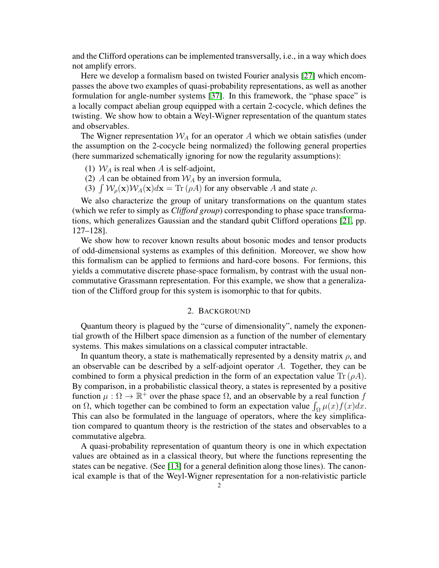and the Clifford operations can be implemented transversally, i.e., in a way which does not amplify errors.

Here we develop a formalism based on twisted Fourier analysis [\[27\]](#page-32-6) which encompasses the above two examples of quasi-probability representations, as well as another formulation for angle-number systems [\[37\]](#page-32-7). In this framework, the "phase space" is a locally compact abelian group equipped with a certain 2-cocycle, which defines the twisting. We show how to obtain a Weyl-Wigner representation of the quantum states and observables.

The Wigner representation  $W_A$  for an operator A which we obtain satisfies (under the assumption on the 2-cocycle being normalized) the following general properties (here summarized schematically ignoring for now the regularity assumptions):

(1)  $W_A$  is real when A is self-adjoint,

- (2) A can be obtained from  $W_A$  by an inversion formula,
- (3)  $\int W_{\rho}(\mathbf{x})W_A(\mathbf{x})d\mathbf{x} = \text{Tr} (\rho A)$  for any observable A and state  $\rho$ .

We also characterize the group of unitary transformations on the quantum states (which we refer to simply as *Clifford group*) corresponding to phase space transformations, which generalizes Gaussian and the standard qubit Clifford operations [\[21,](#page-31-7) pp. 127–128].

We show how to recover known results about bosonic modes and tensor products of odd-dimensional systems as examples of this definition. Moreover, we show how this formalism can be applied to fermions and hard-core bosons. For fermions, this yields a commutative discrete phase-space formalism, by contrast with the usual noncommutative Grassmann representation. For this example, we show that a generalization of the Clifford group for this system is isomorphic to that for qubits.

# 2. BACKGROUND

Quantum theory is plagued by the "curse of dimensionality", namely the exponential growth of the Hilbert space dimension as a function of the number of elementary systems. This makes simulations on a classical computer intractable.

In quantum theory, a state is mathematically represented by a density matrix  $\rho$ , and an observable can be described by a self-adjoint operator  $A$ . Together, they can be combined to form a physical prediction in the form of an expectation value Tr  $(\rho A)$ . By comparison, in a probabilistic classical theory, a states is represented by a positive function  $\mu : \Omega \to \mathbb{R}^+$  over the phase space  $\Omega$ , and an observable by a real function f on  $\Omega$ , which together can be combined to form an expectation value  $\int_{\Omega} \mu(x) f(x) dx$ . This can also be formulated in the language of operators, where the key simplification compared to quantum theory is the restriction of the states and observables to a commutative algebra.

A quasi-probability representation of quantum theory is one in which expectation values are obtained as in a classical theory, but where the functions representing the states can be negative. (See [\[13\]](#page-31-8) for a general definition along those lines). The canonical example is that of the Weyl-Wigner representation for a non-relativistic particle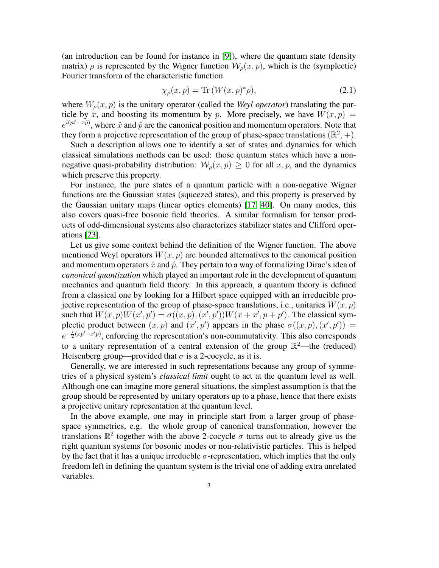(an introduction can be found for instance in [\[9\]](#page-31-9)), where the quantum state (density matrix)  $\rho$  is represented by the Wigner function  $\mathcal{W}_\rho(x,p)$ , which is the (symplectic) Fourier transform of the characteristic function

$$
\chi_{\rho}(x, p) = \text{Tr}\left(W(x, p)^{*}\rho\right),\tag{2.1}
$$

where  $W_{\rho}(x, p)$  is the unitary operator (called the *Weyl operator*) translating the particle by x, and boosting its momentum by p. More precisely, we have  $W(x, p) =$  $e^{i(p\hat{x}-x\hat{p})}$ , where  $\hat{x}$  and  $\hat{p}$  are the canonical position and momentum operators. Note that they form a projective representation of the group of phase-space translations  $(\mathbb{R}^2, +)$ .

Such a description allows one to identify a set of states and dynamics for which classical simulations methods can be used: those quantum states which have a nonnegative quasi-probability distribution:  $W<sub>o</sub>(x, p) \ge 0$  for all  $x, p$ , and the dynamics which preserve this property.

For instance, the pure states of a quantum particle with a non-negative Wigner functions are the Gaussian states (squeezed states), and this property is preserved by the Gaussian unitary maps (linear optics elements) [\[17,](#page-31-0) [40\]](#page-32-8). On many modes, this also covers quasi-free bosonic field theories. A similar formalism for tensor products of odd-dimensional systems also characterizes stabilizer states and Clifford operations [\[23\]](#page-31-6).

Let us give some context behind the definition of the Wigner function. The above mentioned Weyl operators  $W(x, p)$  are bounded alternatives to the canonical position and momentum operators  $\hat{x}$  and  $\hat{p}$ . They pertain to a way of formalizing Dirac's idea of *canonical quantization* which played an important role in the development of quantum mechanics and quantum field theory. In this approach, a quantum theory is defined from a classical one by looking for a Hilbert space equipped with an irreducible projective representation of the group of phase-space translations, i.e., unitaries  $W(x, p)$ such that  $W(x, p)W(x', p') = \sigma((x, p), (x', p'))W(x + x', p + p')$ . The classical symplectic product between  $(x, p)$  and  $(x', p')$  appears in the phase  $\sigma((x, p), (x', p')) =$  $e^{-\frac{i}{2}(xp'-x'p)}$ , enforcing the representation's non-commutativity. This also corresponds to a unitary representation of a central extension of the group  $\mathbb{R}^2$ —the (reduced) Heisenberg group—provided that  $\sigma$  is a 2-cocycle, as it is.

Generally, we are interested in such representations because any group of symmetries of a physical system's *classical limit* ought to act at the quantum level as well. Although one can imagine more general situations, the simplest assumption is that the group should be represented by unitary operators up to a phase, hence that there exists a projective unitary representation at the quantum level.

In the above example, one may in principle start from a larger group of phasespace symmetries, e.g. the whole group of canonical transformation, however the translations  $\mathbb{R}^2$  together with the above 2-cocycle  $\sigma$  turns out to already give us the right quantum systems for bosonic modes or non-relativistic particles. This is helped by the fact that it has a unique irreducble  $\sigma$ -representation, which implies that the only freedom left in defining the quantum system is the trivial one of adding extra unrelated variables.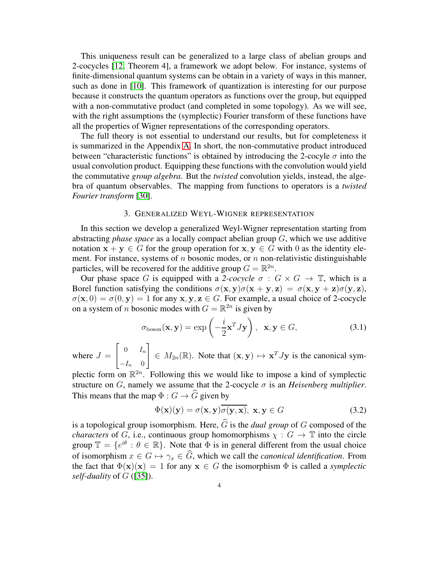This uniqueness result can be generalized to a large class of abelian groups and 2-cocycles [\[12,](#page-31-10) Theorem 4], a framework we adopt below. For instance, systems of finite-dimensional quantum systems can be obtain in a variety of ways in this manner, such as done in [\[10\]](#page-31-11). This framework of quantization is interesting for our purpose because it constructs the quantum operators as functions over the group, but equipped with a non-commutative product (and completed in some topology). As we will see, with the right assumptions the (symplectic) Fourier transform of these functions have all the properties of Wigner representations of the corresponding operators.

The full theory is not essential to understand our results, but for completeness it is summarized in the Appendix [A.](#page-16-0) In short, the non-commutative product introduced between "characteristic functions" is obtained by introducing the 2-cocyle  $\sigma$  into the usual convolution product. Equipping these functions with the convolution would yield the commutative *group algebra*. But the *twisted* convolution yields, instead, the algebra of quantum observables. The mapping from functions to operators is a *twisted Fourier transform* [\[30\]](#page-32-9).

# 3. GENERALIZED WEYL-WIGNER REPRESENTATION

In this section we develop a generalized Weyl-Wigner representation starting from abstracting *phase space* as a locally compact abelian group G, which we use additive notation  $x + y \in G$  for the group operation for  $x, y \in G$  with 0 as the identity element. For instance, systems of n bosonic modes, or n non-relativistic distinguishable particles, will be recovered for the additive group  $G = \mathbb{R}^{2n}$ .

Our phase space G is equipped with a 2-cocycle  $\sigma : G \times G \to \mathbb{T}$ , which is a Borel function satisfying the conditions  $\sigma(\mathbf{x}, \mathbf{y})\sigma(\mathbf{x} + \mathbf{y}, \mathbf{z}) = \sigma(\mathbf{x}, \mathbf{y} + \mathbf{z})\sigma(\mathbf{y}, \mathbf{z}),$  $\sigma(\mathbf{x},0) = \sigma(0,\mathbf{y}) = 1$  for any  $\mathbf{x}, \mathbf{y}, \mathbf{z} \in G$ . For example, a usual choice of 2-cocycle on a system of *n* bosonic modes with  $G = \mathbb{R}^{2n}$  is given by

<span id="page-3-0"></span>
$$
\sigma_{\text{boson}}(\mathbf{x}, \mathbf{y}) = \exp\left(-\frac{i}{2}\mathbf{x}^T J \mathbf{y}\right), \ \ \mathbf{x}, \mathbf{y} \in G,
$$
 (3.1)

where  $J =$  $\begin{bmatrix} 0 & I_n \end{bmatrix}$  $-I_n$  0 1  $\in M_{2n}(\mathbb{R})$ . Note that  $(\mathbf{x}, \mathbf{y}) \mapsto \mathbf{x}^T J \mathbf{y}$  is the canonical sym-

plectic form on  $\mathbb{R}^{2n}$ . Following this we would like to impose a kind of symplectic structure on G, namely we assume that the 2-cocycle  $\sigma$  is an *Heisenberg multiplier*. This means that the map  $\Phi: G \to \widehat{G}$  given by

$$
\Phi(\mathbf{x})(\mathbf{y}) = \sigma(\mathbf{x}, \mathbf{y}) \overline{\sigma(\mathbf{y}, \mathbf{x})}, \mathbf{x}, \mathbf{y} \in G
$$
\n(3.2)

is a topological group isomorphism. Here,  $\hat{G}$  is the *dual group* of G composed of the *characters* of G, i.e., continuous group homomorphisms  $\chi : G \to \mathbb{T}$  into the circle group  $\mathbb{T} = \{e^{i\theta} : \theta \in \mathbb{R}\}\$ . Note that  $\Phi$  is in general different from the usual choice of isomorphism  $x \in G \mapsto \gamma_x \in \widehat{G}$ , which we call the *canonical identification*. From the fact that  $\Phi(\mathbf{x})(\mathbf{x}) = 1$  for any  $\mathbf{x} \in G$  the isomorphism  $\Phi$  is called a *symplectic self-duality* of G ([\[35\]](#page-32-10)).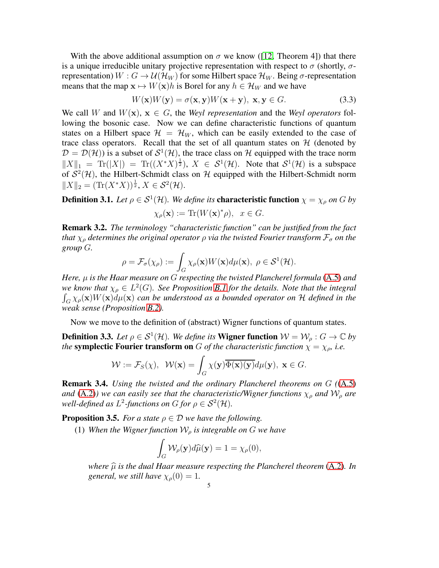With the above additional assumption on  $\sigma$  we know ([\[12,](#page-31-10) Theorem 4]) that there is a unique irreducible unitary projective representation with respect to  $\sigma$  (shortly,  $\sigma$ representation)  $W: G \to \mathcal{U}(\mathcal{H}_W)$  for some Hilbert space  $\mathcal{H}_W$ . Being  $\sigma$ -representation means that the map  $\mathbf{x} \mapsto W(\mathbf{x})h$  is Borel for any  $h \in \mathcal{H}_W$  and we have

$$
W(\mathbf{x})W(\mathbf{y}) = \sigma(\mathbf{x}, \mathbf{y})W(\mathbf{x} + \mathbf{y}), \mathbf{x}, \mathbf{y} \in G.
$$
 (3.3)

We call W and  $W(\mathbf{x}), \mathbf{x} \in G$ , the *Weyl representation* and the *Weyl operators* following the bosonic case. Now we can define characteristic functions of quantum states on a Hilbert space  $\mathcal{H} = \mathcal{H}_W$ , which can be easily extended to the case of trace class operators. Recall that the set of all quantum states on  $H$  (denoted by  $\mathcal{D} = \mathcal{D}(\mathcal{H})$ ) is a subset of  $\mathcal{S}^1(\mathcal{H})$ , the trace class on  $\mathcal{H}$  equipped with the trace norm  $||X||_1 = \text{Tr}(|X|) = \text{Tr}((X^*X)^{\frac{1}{2}}), X \in S^1(\mathcal{H}).$  Note that  $S^1(\mathcal{H})$  is a subspace of  $S^2(\mathcal{H})$ , the Hilbert-Schmidt class on H equipped with the Hilbert-Schmidt norm  $||X||_2 = (\text{Tr}(X^*X))^{\frac{1}{2}}, X \in \mathcal{S}^2(\mathcal{H}).$ 

**Definition 3.1.** Let  $\rho \in \mathcal{S}^1(\mathcal{H})$ . We define its **characteristic function**  $\chi = \chi_\rho$  on G by  $\chi_{\rho}(\mathbf{x}) := \text{Tr}(W(\mathbf{x})^*)\rho, \ \ x \in G.$ 

Remark 3.2. *The terminology "characteristic function" can be justified from the fact that*  $\chi_{\rho}$  *determines the original operator*  $\rho$  *via the twisted Fourier transform*  $\mathcal{F}_{\sigma}$  *on the group* G*.*

$$
\rho = \mathcal{F}_{\sigma}(\chi_{\rho}) := \int_{G} \chi_{\rho}(\mathbf{x}) W(\mathbf{x}) d\mu(\mathbf{x}), \ \rho \in \mathcal{S}^{1}(\mathcal{H}).
$$

*Here,* µ *is the Haar measure on* G *respecting the twisted Plancherel formula* [\(A.5\)](#page-18-0) *and we know that*  $\chi_{\rho} \in L^2(G)$ *. See Proposition [B.1](#page-18-1) for the details. Note that the integral*  $\int_G \chi_\rho(\mathbf{x}) W(\mathbf{x}) d\mu(\mathbf{x})$  *can be understood as a bounded operator on* H *defined in the weak sense (Proposition [B.2\)](#page-18-2).*

Now we move to the definition of (abstract) Wigner functions of quantum states.

<span id="page-4-0"></span>**Definition 3.3.** *Let*  $\rho \in S^1(\mathcal{H})$ *. We define its* **Wigner function**  $\mathcal{W} = \mathcal{W}_\rho : G \to \mathbb{C}$  *by the* symplectic Fourier transform on G of the characteristic function  $\chi = \chi_{\rho}$ , i.e.

$$
\mathcal{W} := \mathcal{F}_S(\chi), \quad \mathcal{W}(\mathbf{x}) = \int_G \chi(\mathbf{y}) \overline{\Phi(\mathbf{x})(\mathbf{y})} d\mu(\mathbf{y}), \ \mathbf{x} \in G.
$$

Remark 3.4. *Using the twisted and the ordinary Plancherel theorems on* G *(*[\(A.5\)](#page-18-0) *and* [\(A.2\)](#page-17-0)) we can easily see that the characteristic/Wigner functions  $\chi_{\rho}$  and  $W_{\rho}$  are well-defined as  $L^2$ -functions on G for  $\rho \in \mathcal{S}^2(\mathcal{H})$ .

<span id="page-4-1"></span>**Proposition 3.5.** *For a state*  $\rho \in \mathcal{D}$  *we have the following.* 

(1) *When the Wigner function*  $W<sub>o</sub>$  *is integrable on*  $G$  *we have* 

$$
\int_G \mathcal{W}_\rho(\mathbf{y}) d\widehat{\mu}(\mathbf{y}) = 1 = \chi_\rho(0),
$$

*where*  $\hat{\mu}$  *is the dual Haar measure respecting the Plancherel theorem* [\(A.2\)](#page-17-0)*. In general, we still have*  $\chi_{\rho}(0) = 1$ *.*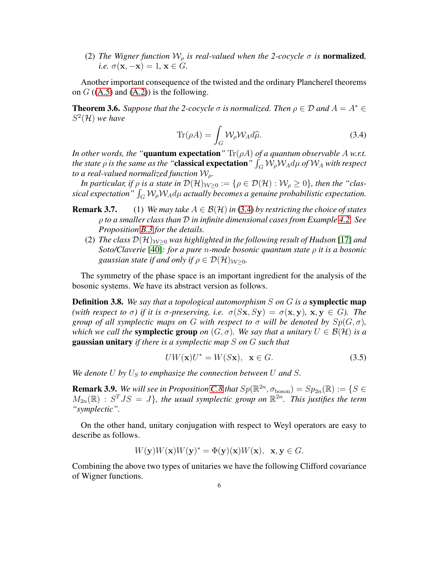(2) *The Wigner function*  $W_{\rho}$  *is real-valued when the 2-cocycle*  $\sigma$  *is normalized, i.e.*  $\sigma(\mathbf{x}, -\mathbf{x}) = 1, \mathbf{x} \in G$ .

Another important consequence of the twisted and the ordinary Plancherel theorems on  $G$  ([\(A.5\)](#page-18-0) and [\(A.2\)](#page-17-0)) is the following.

<span id="page-5-1"></span>**Theorem 3.6.** *Suppose that the 2-cocycle*  $\sigma$  *is normalized. Then*  $\rho \in \mathcal{D}$  *and*  $A = A^* \in$ S 2 (H) *we have*

<span id="page-5-0"></span>
$$
\text{Tr}(\rho A) = \int_{G} \mathcal{W}_{\rho} \mathcal{W}_{A} d\hat{\mu}.
$$
 (3.4)

*In other words, the "*quantum expectation"  $\text{Tr}(\rho A)$  *of a quantum observable* A *w.r.t. the state*  $\rho$  *is the same as the "classical expectation"*  $\int_G \mathcal{W}_\rho \mathcal{W}_A d\mu$  *of*  $\mathcal{W}_A$  *with respect to a real-valued normalized function*  $W<sub>o</sub>$ .

*In particular, if*  $\rho$  *is a state in*  $\mathcal{D}(\mathcal{H})_{W>0} := \{ \rho \in \mathcal{D}(\mathcal{H}) : \mathcal{W}_\rho \geq 0 \}$ , then the "clas $sical expectation" \int_G \mathcal{W}_\rho \mathcal{W}_A d\mu$  actually becomes a genuine probabilistic expectation.

- **Remark 3.7.** (1) *We may take*  $A \in \mathcal{B}(\mathcal{H})$  *in* [\(3.4\)](#page-5-0) *by restricting the choice of states* ρ *to a smaller class than* D *in infinite dimensional cases from Example 4.2. See Proposition [B.3](#page-19-0) for the details.*
	- (2) *The class*  $\mathcal{D}(\mathcal{H})_{W>0}$  *was highlighted in the following result of Hudson* [\[17\]](#page-31-0) *and Soto/Claverie* [\[40\]](#page-32-8)*: for a pure* n*-mode bosonic quantum state* ρ *it is a bosonic gaussian state if and only if*  $\rho \in \mathcal{D}(\mathcal{H})_{\mathcal{W}>0}$ .

The symmetry of the phase space is an important ingredient for the analysis of the bosonic systems. We have its abstract version as follows.

Definition 3.8. *We say that a topological automorphism* S *on* G *is a* symplectic map *(with respect to*  $\sigma$ *) if it is*  $\sigma$ -preserving, i.e.  $\sigma(Sx, Sy) = \sigma(x, y)$ ,  $x, y \in G$ *). The group of all symplectic maps on* G *with respect to*  $\sigma$  *will be denoted by*  $Sp(G, \sigma)$ *, which we call the* **symplectic group** *on*  $(G, \sigma)$ *. We say that a unitary*  $U \in \mathcal{B}(\mathcal{H})$  *is a* gaussian unitary *if there is a symplectic map* S *on* G *such that*

$$
UW(\mathbf{x})U^* = W(S\mathbf{x}), \ \mathbf{x} \in G. \tag{3.5}
$$

*We denote* U *by*  $U_S$  *to emphasize the connection between* U *and* S.

**Remark 3.9.** *We will see in Proposition [C.8](#page-23-0) that*  $Sp(\mathbb{R}^{2n}, \sigma_{\text{boson}}) = Sp_{2n}(\mathbb{R}) := \{S \in \mathbb{R}^n : S \subseteq \mathbb{R}^n : S \subseteq \mathbb{R}^n : S \subseteq \mathbb{R}^n \}$  $M_{2n}(\mathbb{R})$  :  $S<sup>T</sup>JS = J$ , the usual symplectic group on  $\mathbb{R}^{2n}$ . This justifies the term *"symplectic".*

On the other hand, unitary conjugation with respect to Weyl operators are easy to describe as follows.

$$
W(\mathbf{y})W(\mathbf{x})W(\mathbf{y})^* = \Phi(\mathbf{y})(\mathbf{x})W(\mathbf{x}), \ \mathbf{x}, \mathbf{y} \in G.
$$

Combining the above two types of unitaries we have the following Clifford covariance of Wigner functions.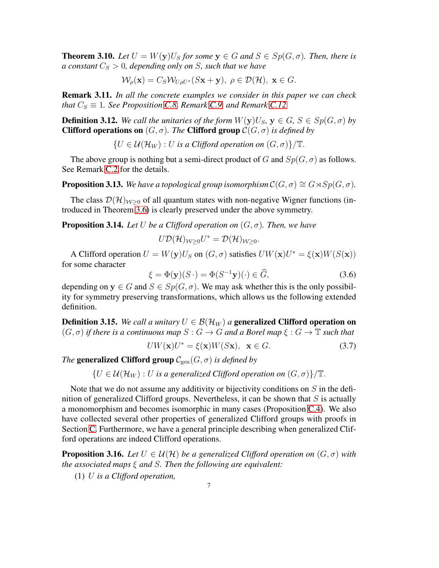<span id="page-6-0"></span>**Theorem 3.10.** *Let*  $U = W(y)U<sub>S</sub>$  *for some*  $y \in G$  *and*  $S \in Sp(G, \sigma)$ *. Then, there is a constant*  $C_S > 0$ *, depending only on* S*, such that we have* 

$$
\mathcal{W}_{\rho}(\mathbf{x}) = C_S \mathcal{W}_{U\rho U^*}(S\mathbf{x} + \mathbf{y}), \ \rho \in \mathcal{D}(\mathcal{H}), \ \mathbf{x} \in G.
$$

Remark 3.11. *In all the concrete examples we consider in this paper we can check that*  $C_S \equiv 1$ *. See Proposition [C.8,](#page-23-0) Remark [C.9,](#page-24-0) and Remark [C.12](#page-25-0)* 

**Definition 3.12.** We call the unitaries of the form  $W(y)U_S$ ,  $y \in G$ ,  $S \in Sp(G, \sigma)$  by **Clifford operations on**  $(G, \sigma)$ *. The* **Clifford group**  $C(G, \sigma)$  *is defined by* 

 $\{U \in \mathcal{U}(\mathcal{H}_W) : U$  *is a Clifford operation on*  $(G, \sigma)\}/\mathbb{T}$ .

The above group is nothing but a semi-direct product of G and  $Sp(G, \sigma)$  as follows. See Remark [C.2](#page-21-0) for the details.

<span id="page-6-2"></span>**Proposition 3.13.** *We have a topological group isomorphism*  $C(G, \sigma) \cong G \rtimes Sp(G, \sigma)$ *.* 

The class  $\mathcal{D}(\mathcal{H})_{\mathcal{W}\geq 0}$  of all quantum states with non-negative Wigner functions (introduced in Theorem [3.6\)](#page-5-1) is clearly preserved under the above symmetry.

**Proposition 3.14.** Let U be a Clifford operation on  $(G, \sigma)$ . Then, we have

$$
U\mathcal{D}(\mathcal{H})_{\mathcal{W}\geq 0}U^*=\mathcal{D}(\mathcal{H})_{\mathcal{W}\geq 0}.
$$

A Clifford operation  $U = W(y)U_S$  on  $(G, \sigma)$  satisfies  $UW(\mathbf{x})U^* = \xi(\mathbf{x})W(S(\mathbf{x}))$ for some character

<span id="page-6-1"></span>
$$
\xi = \Phi(\mathbf{y})(S \cdot) = \Phi(S^{-1}\mathbf{y})(\cdot) \in \widehat{G},\tag{3.6}
$$

depending on  $y \in G$  and  $S \in Sp(G, \sigma)$ . We may ask whether this is the only possibility for symmetry preserving transformations, which allows us the following extended definition.

**Definition 3.15.** *We call a unitary*  $U \in \mathcal{B}(\mathcal{H}_W)$  *a* generalized Clifford operation on  $(G, \sigma)$  *if there is a continuous map*  $S : G \to G$  *and a Borel map*  $\xi : G \to \mathbb{T}$  *such that* 

<span id="page-6-3"></span>
$$
UW(\mathbf{x})U^* = \xi(\mathbf{x})W(S\mathbf{x}), \ \mathbf{x} \in G. \tag{3.7}
$$

*The* generalized Clifford group  $\mathcal{C}_{gen}(G, \sigma)$  *is defined by* 

 $\{U \in \mathcal{U}(\mathcal{H}_W) : U$  *is a generalized Clifford operation on*  $(G, \sigma)\}/\mathbb{T}$ .

Note that we do not assume any additivity or bijectivity conditions on  $S$  in the definition of generalized Clifford groups. Nevertheless, it can be shown that  $S$  is actually a monomorphism and becomes isomorphic in many cases (Proposition [C.4\)](#page-21-1). We also have collected several other properties of generalized Clifford groups with proofs in Section [C.](#page-20-0) Furthermore, we have a general principle describing when generalized Clifford operations are indeed Clifford operations.

<span id="page-6-4"></span>**Proposition 3.16.** *Let*  $U \in \mathcal{U}(\mathcal{H})$  *be a generalized Clifford operation on*  $(G, \sigma)$  *with the associated maps* ξ *and* S*. Then the following are equivalent:*

(1) U *is a Clifford operation,*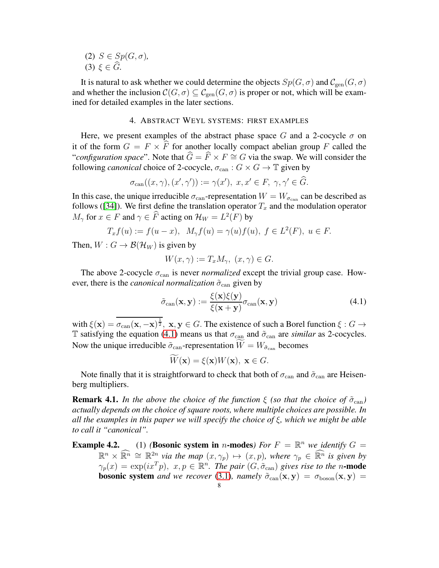(2)  $S \in Sp(G, \sigma)$ , (3)  $\xi \in \widehat{G}$ .

It is natural to ask whether we could determine the objects  $Sp(G, \sigma)$  and  $\mathcal{C}_{gen}(G, \sigma)$ and whether the inclusion  $\mathcal{C}(G, \sigma) \subseteq \mathcal{C}_{gen}(G, \sigma)$  is proper or not, which will be examined for detailed examples in the later sections.

# 4. ABSTRACT WEYL SYSTEMS: FIRST EXAMPLES

<span id="page-7-1"></span>Here, we present examples of the abstract phase space G and a 2-cocycle  $\sigma$  on it of the form  $G = F \times \widehat{F}$  for another locally compact abelian group F called the "*configuration space*". Note that  $\hat{G} = \hat{F} \times F \cong G$  via the swap. We will consider the following *canonical* choice of 2-cocycle,  $\sigma_{\text{can}} : G \times G \to \mathbb{T}$  given by

$$
\sigma_{\text{can}}((x,\gamma),(x',\gamma')):=\gamma(x'),\ x,x'\in F,\ \gamma,\gamma'\in \widehat{G}.
$$

In this case, the unique irreducible  $\sigma_{\text{can}}$ -representation  $W = W_{\sigma_{\text{can}}}$  can be described as follows ([\[34\]](#page-32-11)). We first define the translation operator  $T_x$  and the modulation operator  $M_{\gamma}$  for  $x \in F$  and  $\gamma \in \widehat{F}$  acting on  $\mathcal{H}_W = L^2(F)$  by

$$
T_x f(u) := f(u - x), \ M_{\gamma} f(u) = \gamma(u) f(u), \ f \in L^2(F), \ u \in F.
$$

Then,  $W: G \to \mathcal{B}(\mathcal{H}_W)$  is given by

$$
W(x,\gamma) := T_x M_{\gamma}, \ (x,\gamma) \in G.
$$

The above 2-cocycle  $\sigma_{\text{can}}$  is never *normalized* except the trivial group case. However, there is the *canonical normalization*  $\tilde{\sigma}_{\text{can}}$  given by

<span id="page-7-0"></span>
$$
\tilde{\sigma}_{\text{can}}(\mathbf{x}, \mathbf{y}) := \frac{\xi(\mathbf{x})\xi(\mathbf{y})}{\xi(\mathbf{x} + \mathbf{y})}\sigma_{\text{can}}(\mathbf{x}, \mathbf{y})
$$
\n(4.1)

with  $\xi(\mathbf{x}) = \overline{\sigma_{\text{can}}(\mathbf{x}, -\mathbf{x})^{\frac{1}{2}}}, \mathbf{x}, \mathbf{y} \in G$ . The existence of such a Borel function  $\xi : G \to$ T satisfying the equation [\(4.1\)](#page-7-0) means us that  $\sigma_{\text{can}}$  and  $\tilde{\sigma}_{\text{can}}$  are *similar* as 2-cocycles. Now the unique irreducible  $\tilde{\sigma}_{\text{can}}$ -representation  $W = W_{\tilde{\sigma}_{\text{can}}}$  becomes

$$
W(\mathbf{x}) = \xi(\mathbf{x})W(\mathbf{x}), \ \mathbf{x} \in G.
$$

Note finally that it is straightforward to check that both of  $\sigma_{\text{can}}$  and  $\tilde{\sigma}_{\text{can}}$  are Heisenberg multipliers.

**Remark 4.1.** *In the above the choice of the function*  $\xi$  *(so that the choice of*  $\tilde{\sigma}_{\text{can}}$ *) actually depends on the choice of square roots, where multiple choices are possible. In all the examples in this paper we will specify the choice of* ξ*, which we might be able to call it "canonical".*

**Example 4.2.** (1) *(Bosonic system in n*-modes*)* For  $F = \mathbb{R}^n$  *we identify*  $G =$  $\mathbb{R}^n \times \mathbb{R}^n \cong \mathbb{R}^{2n}$  *via the map*  $(x, \gamma_p) \mapsto (x, p)$ *, where*  $\gamma_p \in \mathbb{R}^n$  *is given by*  $\gamma_p(x) = \exp(ix^Tp), x, p \in \mathbb{R}^n$ . The pair  $(G, \tilde{\sigma}_{can})$  gives rise to the n-mode **bosonic system** and we recover [\(3.1\)](#page-3-0), namely  $\tilde{\sigma}_{\text{can}}(x, y) = \sigma_{\text{boson}}(x, y)$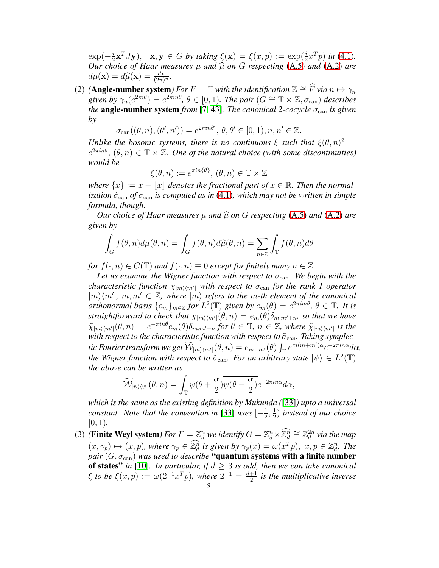$\exp(-\frac{i}{2})$  $\frac{i}{2} \mathbf{x}^T J \mathbf{y}$ ,  $\mathbf{x}, \mathbf{y} \in G$  by taking  $\xi(\mathbf{x}) = \xi(x, p) := \exp(\frac{i}{2} x^T p)$  in [\(4.1\)](#page-7-0). *Our choice of Haar measures*  $\mu$  *and*  $\hat{\mu}$  *on G respecting* [\(A.5\)](#page-18-0) *and* [\(A.2\)](#page-17-0) *are*  $d\mu(\mathbf{x}) = d\widehat{\mu}(\mathbf{x}) = \frac{d\mathbf{x}}{(2\pi)^n}$ .

(2) **(Angle-number system**) For  $F = \mathbb{T}$  with the identification  $\mathbb{Z} \cong \widehat{F}$  *via*  $n \mapsto \gamma_n$ *given by*  $\gamma_n(e^{2\pi i\theta}) = e^{2\pi i n\theta}, \theta \in [0, 1)$ *. The pair*  $(G \cong \mathbb{T} \times \mathbb{Z}, \sigma_{\text{can}})$  *describes the* angle-number system *from* [\[7,](#page-31-12) [43\]](#page-32-12). *The canonical 2-cocycle*  $\sigma_{\text{can}}$  *is given by*

$$
\sigma_{\text{can}}((\theta, n), (\theta', n')) = e^{2\pi i n\theta'}, \, \theta, \theta' \in [0, 1), n, n' \in \mathbb{Z}.
$$

*Unlike the bosonic systems, there is no continuous*  $\xi$  *such that*  $\xi(\theta, n)^2 =$  $e^{2\pi i n\theta}$ ,  $(\theta, n) \in \mathbb{T} \times \mathbb{Z}$ . One of the natural choice (with some discontinuities) *would be*

$$
\xi(\theta, n) := e^{\pi i n \{\theta\}}, \, (\theta, n) \in \mathbb{T} \times \mathbb{Z}
$$

*where*  $\{x\} := x - \lfloor x \rfloor$  *denotes the fractional part of*  $x \in \mathbb{R}$ *. Then the normalization*  $\tilde{\sigma}_{\text{can}}$  *of*  $\sigma_{\text{can}}$  *is computed as in* [\(4.1\)](#page-7-0)*, which may not be written in simple formula, though.*

*Our choice of Haar measures*  $\mu$  *and*  $\widehat{\mu}$  *on G respecting* [\(A.5\)](#page-18-0) *and* [\(A.2\)](#page-17-0) *are given by*

$$
\int_G f(\theta, n) d\mu(\theta, n) = \int_G f(\theta, n) d\widehat{\mu}(\theta, n) = \sum_{n \in \mathbb{Z}} \int_{\mathbb{T}} f(\theta, n) d\theta
$$

*for*  $f(\cdot, n) \in C(\mathbb{T})$  *and*  $f(\cdot, n) \equiv 0$  *except for finitely many*  $n \in \mathbb{Z}$ *.* 

Let us examine the Wigner function with respect to  $\tilde{\sigma}_{\text{can}}$ . We begin with the *characteristic function*  $\chi_{|m\rangle\langle m'|}$  *with respect to*  $\sigma_{\text{can}}$  *for the rank 1 operator*  $|m\rangle\langle m'|$ ,  $m, m' \in \mathbb{Z}$ , where  $|m\rangle$  refers to the m-th element of the canonical *orthonormal basis*  ${e_m}_{m \in \mathbb{Z}}$  *for*  $L^2(\mathbb{T})$  *given by*  $e_m(\theta) = e^{2\pi i m\theta}$ ,  $\theta \in \mathbb{T}$ . *It is straightforward to check that*  $\chi_{|m\rangle\langle m'|}(\theta, n) = e_m(\theta)\delta_{m,m'+n}$ *, so that we have*  $\tilde{\chi}_{|m\rangle\langle m'|}(\theta,n)=e^{-\pi in\theta}e_{m}(\theta)\delta_{m,m'+n}$  for  $\theta\in\mathbb{T}$ ,  $n\in\mathbb{Z}$ , where  $\tilde{\chi}_{|m\rangle\langle m'|}$  is the *with respect to the characteristic function with respect to*  $\tilde{\sigma}_{\text{can}}$ *. Taking symplectic Fourier transform we get*  $\widetilde{\mathcal{W}}_{|m\rangle\langle m'|}(\theta,n)=e_{m-m'}(\theta)\int_{\mathbb{T}}e^{\pi i(m+m')\alpha}e^{-2\pi in\alpha}d\alpha,$ *the Wigner function with respect to*  $\tilde{\sigma}_{\text{can}}$ *. For an arbitrary state*  $|\psi\rangle \in L^2(\mathbb{T})$ *the above can be written as*

$$
\widetilde{\mathcal{W}}_{|\psi\rangle\langle\psi|}(\theta,n)=\int_{\mathbb{T}}\psi(\theta+\frac{\alpha}{2})\overline{\psi(\theta-\frac{\alpha}{2})}e^{-2\pi in\alpha}d\alpha,
$$

*which is the same as the existing definition by Mukunda (*[\[33\]](#page-32-13)*) upto a universal constant. Note that the convention in* [\[33\]](#page-32-13) *uses*  $\left[-\frac{1}{2}\right]$  $\frac{1}{2}, \frac{1}{2}$  $\frac{1}{2}$ ) *instead of our choice*  $[0, 1)$ .

(3) (**Finite Weyl system**) For  $F = \mathbb{Z}_d^n$  we identify  $G = \mathbb{Z}_d^n \times \mathbb{Z}_d^n \cong \mathbb{Z}_d^{2n}$  via the map  $(x, \gamma_p) \mapsto (x, p)$ , where  $\gamma_p \in \mathbb{Z}_d^n$  is given by  $\gamma_p(x) = \omega(x^T p)$ ,  $x, p \in \mathbb{Z}_d^n$ . The *pair*  $(G, \sigma_{\text{can}})$  *was used to describe* "quantum systems with a finite number of states" *in* [\[10\]](#page-31-11). In particular, if  $d \geq 3$  is odd, then we can take canonical  $\xi$  to be  $\xi(x,p) := \omega(2^{-1}x^Tp)$ , where  $2^{-1} = \frac{d+1}{2}$  $\frac{+1}{2}$  is the multiplicative inverse 9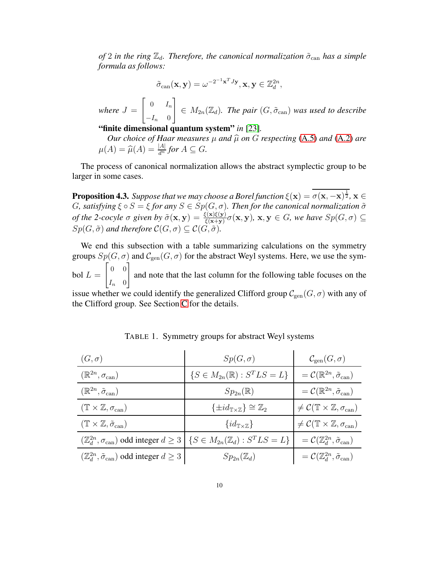*of* 2 *in the ring*  $\mathbb{Z}_d$ *. Therefore, the canonical normalization*  $\tilde{\sigma}_{\text{can}}$  *has a simple formula as follows:*

$$
\tilde{\sigma}_{\mathrm{can}}(\mathbf{x}, \mathbf{y}) = \omega^{-2^{-1}\mathbf{x}^T J \mathbf{y}}, \mathbf{x}, \mathbf{y} \in \mathbb{Z}_d^{2n},
$$

 $where J =$  $\begin{bmatrix} 0 & I_n \end{bmatrix}$  $-I_n$  0 1  $\in M_{2n}(\mathbb{Z}_d)$ . The pair  $(G, \tilde{\sigma}_{\text{can}})$  was used to describe

"finite dimensional quantum system" *in* [\[23\]](#page-31-6)*.*

*Our choice of Haar measures*  $\mu$  *and*  $\hat{\mu}$  *on*  $G$  *respecting* [\(A.5\)](#page-18-0) *and* [\(A.2\)](#page-17-0) *are*  $\mu(A) = \widehat{\mu}(A) = \frac{|A|}{d^n}$  for  $A \subseteq G$ .

The process of canonical normalization allows the abstract symplectic group to be larger in some cases.

**Proposition 4.3.** *Suppose that we may choose a Borel function*  $\xi(\mathbf{x}) = \overline{\sigma(\mathbf{x}, -\mathbf{x})^{\frac{1}{2}}}$ ,  $\mathbf{x} \in$ *G*, satisfying  $\xi \circ S = \xi$  for any  $S \in Sp(G, \sigma)$ . Then for the canonical normalization  $\tilde{\sigma}$ *of the 2-cocyle*  $\sigma$  given by  $\tilde{\sigma}(\mathbf{x}, \mathbf{y}) = \frac{\xi(\mathbf{x})\xi(\mathbf{y})}{\xi(\mathbf{x}+\mathbf{y})}\sigma(\mathbf{x}, \mathbf{y})$ ,  $\mathbf{x}, \mathbf{y} \in G$ , we have  $Sp(G, \sigma) \subseteq G$  $Sp(G, \tilde{\sigma})$  and therefore  $\mathcal{C}(G, \sigma) \subseteq \mathcal{C}(G, \tilde{\sigma})$ .

We end this subsection with a table summarizing calculations on the symmetry groups  $Sp(G, \sigma)$  and  $\mathcal{C}_{gen}(G, \sigma)$  for the abstract Weyl systems. Here, we use the sym- $\text{bol } L =$  $\begin{bmatrix} 0 & 0 \\ 0 & 0 \end{bmatrix}$  $I_n \quad 0$ 1 and note that the last column for the following table focuses on the

issue whether we could identify the generalized Clifford group  $\mathcal{C}_{gen}(G, \sigma)$  with any of the Clifford group. See Section [C](#page-20-0) for the details.

| $(G,\sigma)$                                                              | $Sp(G,\sigma)$                                                                                                        | $\mathcal{C}_{gen}(G,\sigma)$                                                 |
|---------------------------------------------------------------------------|-----------------------------------------------------------------------------------------------------------------------|-------------------------------------------------------------------------------|
| $(\mathbb{R}^{2n}, \sigma_{\mathrm{can}})$                                | $\{S \in M_{2n}(\mathbb{R}) : S^T L S = L\}$                                                                          | $=\mathcal{C}(\mathbb{R}^{2n},\tilde{\sigma}_{\mathrm{can}})$                 |
| $(\mathbb{R}^{2n},\tilde{\sigma}_{\mathrm{can}})$                         | $Sp_{2n}(\mathbb{R})$                                                                                                 | $=\mathcal{C}(\mathbb{R}^{2n},\tilde{\sigma}_{\mathrm{can}})$                 |
| $(\mathbb{T} \times \mathbb{Z}, \sigma_{\operatorname{can}})$             | $\{\pm id_{\mathbb{T}\times\mathbb{Z}}\}\cong\mathbb{Z}_2$                                                            | $\neq \mathcal{C}(\mathbb{T} \times \mathbb{Z}, \sigma_{\operatorname{can}})$ |
| $(\mathbb{T} \times \mathbb{Z}, \tilde{\sigma}_{can})$                    | $\{id_{\mathbb{T}\times\mathbb{Z}}\}\$                                                                                | $\neq \mathcal{C}(\mathbb{T} \times \mathbb{Z}, \sigma_{\operatorname{can}})$ |
|                                                                           | $(\mathbb{Z}_d^{2n}, \sigma_{\text{can}})$ odd integer $d \geq 3 \mid \{ S \in M_{2n}(\mathbb{Z}_d) : S^T L S = L \}$ | $=\mathcal{C}(\mathbb{Z}_{d}^{2n},\tilde{\sigma}_{\mathrm{can}})$             |
| $(\mathbb{Z}_d^{2n}, \tilde{\sigma}_{\text{can}})$ odd integer $d \geq 3$ | $Sp_{2n}(\mathbb{Z}_d)$                                                                                               | $=\mathcal{C}(\mathbb{Z}_{d}^{2n},\tilde{\sigma}_{\mathrm{can}})$             |

TABLE 1. Symmetry groups for abstract Weyl systems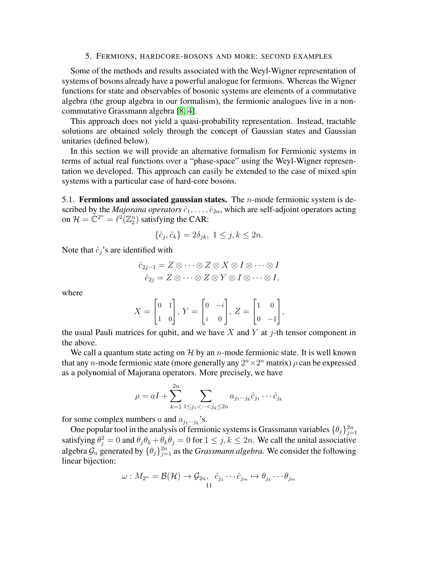# 5. FERMIONS, HARDCORE-BOSONS AND MORE: SECOND EXAMPLES

<span id="page-10-0"></span>Some of the methods and results associated with the Weyl-Wigner representation of systems of bosons already have a powerful analogue for fermions. Whereas the Wigner functions for state and observables of bosonic systems are elements of a commutative algebra (the group algebra in our formalism), the fermionic analogues live in a noncommutative Grassmann algebra [\[8,](#page-31-13) [4\]](#page-31-14).

This approach does not yield a quasi-probability representation. Instead, tractable solutions are obtained solely through the concept of Gaussian states and Gaussian unitaries (defined below).

In this section we will provide an alternative formalism for Fermionic systems in terms of actual real functions over a "phase-space" using the Weyl-Wigner representation we developed. This approach can easily be extended to the case of mixed spin systems with a particular case of hard-core bosons.

5.1. Fermions and associated gaussian states. The  $n$ -mode fermionic system is described by the *Majorana operators*  $\hat{c}_1, \ldots, \hat{c}_{2n}$ , which are self-adjoint operators acting on  $\mathcal{H} = \mathbb{C}^{2^n} = \ell^2(\mathbb{Z}_2^n)$  satisfying the CAR:

$$
\{\hat{c}_j, \hat{c}_k\} = 2\delta_{jk}, \ 1 \le j, k \le 2n.
$$

Note that  $\hat{c}_j$ 's are identified with

$$
\hat{c}_{2j-1} = Z \otimes \cdots \otimes Z \otimes X \otimes I \otimes \cdots \otimes I
$$

$$
\hat{c}_{2j} = Z \otimes \cdots \otimes Z \otimes Y \otimes I \otimes \cdots \otimes I,
$$

where

$$
X = \begin{bmatrix} 0 & 1 \\ 1 & 0 \end{bmatrix}, Y = \begin{bmatrix} 0 & -i \\ i & 0 \end{bmatrix}, Z = \begin{bmatrix} 1 & 0 \\ 0 & -1 \end{bmatrix},
$$

the usual Pauli matrices for qubit, and we have X and Y at j-th tensor component in the above.

We call a quantum state acting on  $H$  by an *n*-mode fermionic state. It is well known that any *n*-mode fermionic state (more generally any  $2^n \times 2^n$  matrix)  $\rho$  can be expressed as a polynomial of Majorana operators. More precisely, we have

$$
\rho = aI + \sum_{k=1}^{2n} \sum_{1 \le j_1 < \dots < j_k \le 2n} a_{j_1 \dots j_k} \hat{c}_{j_1} \dots \hat{c}_{j_k}
$$

for some complex numbers a and  $a_{j_1\cdots j_k}$ 's.

One popular tool in the analysis of fermionic systems is Grassmann variables  $\{\theta_j\}_{j=1}^{2n}$ satisfying  $\theta_j^2 = 0$  and  $\theta_j \theta_k + \theta_k \theta_j = 0$  for  $1 \le j, k \le 2n$ . We call the unital associative algebra  $\mathcal{G}_n$  generated by  $\{\theta_j\}_{j=1}^{2n}$  as the *Grassmann algebra*. We consider the following linear bijection:

$$
\omega: M_{2^n} = \mathcal{B}(\mathcal{H}) \to \mathcal{G}_{2n}, \ \hat{c}_{j_1} \cdots \hat{c}_{j_m} \mapsto \theta_{j_1} \cdots \theta_{j_m}
$$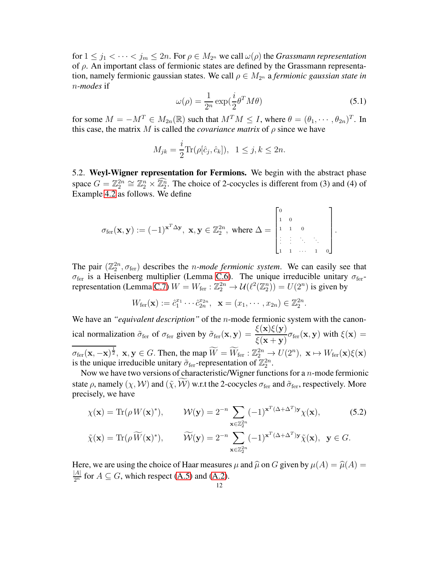for  $1 \leq j_1 < \cdots < j_m \leq 2n$ . For  $\rho \in M_{2^n}$  we call  $\omega(\rho)$  the *Grassmann representation* of  $\rho$ . An important class of fermionic states are defined by the Grassmann representation, namely fermionic gaussian states. We call  $\rho \in M_{2^n}$  a *fermionic gaussian state in* n*-modes* if

$$
\omega(\rho) = \frac{1}{2^n} \exp(\frac{i}{2}\theta^T M \theta)
$$
\n(5.1)

for some  $M = -M^T \in M_{2n}(\mathbb{R})$  such that  $M^T M \leq I$ , where  $\theta = (\theta_1, \dots, \theta_{2n})^T$ . In this case, the matrix M is called the *covariance matrix* of  $\rho$  since we have

$$
M_{jk} = \frac{i}{2} \text{Tr}(\rho[\hat{c}_j, \hat{c}_k]), \ 1 \le j, k \le 2n.
$$

5.2. Weyl-Wigner representation for Fermions. We begin with the abstract phase space  $G = \mathbb{Z}_2^{2n} \cong \mathbb{Z}_2^n \times \mathbb{Z}_2^n$ . The choice of 2-cocycles is different from (3) and (4) of Example 4.2 as follows. We define

$$
\sigma_{\text{fer}}(\mathbf{x}, \mathbf{y}) := (-1)^{\mathbf{x}^T \Delta \mathbf{y}}, \ \mathbf{x}, \mathbf{y} \in \mathbb{Z}_2^{2n}, \ \text{where} \ \Delta = \begin{bmatrix} 0 & & & \\ 1 & 0 & & \\ 1 & 1 & 0 & \\ \vdots & \vdots & \ddots & \vdots \\ 1 & 1 & \cdots & 1 & 0 \end{bmatrix}.
$$

The pair  $(\mathbb{Z}_2^{2n}, \sigma_{\text{fer}})$  describes the *n-mode fermionic system*. We can easily see that  $\sigma_{\text{fer}}$  is a Heisenberg multiplier (Lemma [C.6\)](#page-22-0). The unique irreducible unitary  $\sigma_{\text{fer}}$ -representation (Lemma [C.7\)](#page-23-1)  $W = W_{\text{fer}} : \mathbb{Z}_2^{2n} \to \mathcal{U}(\ell^2(\mathbb{Z}_2^n)) = U(2^n)$  is given by

<span id="page-11-0"></span>
$$
W_{\text{fer}}(\mathbf{x}) := \hat{c}_1^{x_1} \cdots \hat{c}_{2n}^{x_{2n}}, \ \ \mathbf{x} = (x_1, \cdots, x_{2n}) \in \mathbb{Z}_2^{2n}.
$$

We have an *"equivalent description"* of the *n*-mode fermionic system with the canonical normalization  $\tilde{\sigma}_{\text{fer}}$  of  $\sigma_{\text{fer}}$  given by  $\tilde{\sigma}_{\text{fer}}(\mathbf{x}, \mathbf{y}) = \frac{\xi(\mathbf{x})\xi(\mathbf{y})}{\xi(\mathbf{x} + \mathbf{y})}\sigma_{\text{fer}}(\mathbf{x}, \mathbf{y})$  with  $\xi(\mathbf{x}) =$  $\overline{\sigma_{\text{fer}}(\mathbf{x}, \mathbf{x})^{\frac{1}{2}}}$ ,  $\mathbf{x}, \mathbf{y} \in G$ . Then, the map  $\widetilde{W} = \widetilde{W}_{\text{fer}} : \mathbb{Z}_2^{2n} \to U(2^n)$ ,  $\mathbf{x} \mapsto W_{\text{fer}}(\mathbf{x})\xi(\mathbf{x})$ is the unique irreducible unitary  $\tilde{\sigma}_{\text{fer}}$ -representation of  $\mathbb{Z}_2^{2n}$ .

Now we have two versions of characteristic/Wigner functions for a  $n$ -mode fermionic state  $\rho$ , namely  $(\chi, \mathcal{W})$  and  $(\tilde{\chi}, \tilde{\mathcal{W}})$  w.r.t the 2-cocycles  $\sigma_{\text{fer}}$  and  $\tilde{\sigma}_{\text{fer}}$ , respectively. More precisely, we have

$$
\chi(\mathbf{x}) = \text{Tr}(\rho W(\mathbf{x})^*), \qquad \mathcal{W}(\mathbf{y}) = 2^{-n} \sum_{\mathbf{x} \in \mathbb{Z}_2^{2n}} (-1)^{\mathbf{x}^T(\Delta + \Delta^T)\mathbf{y}} \chi(\mathbf{x}), \qquad (5.2)
$$

$$
\tilde{\chi}(\mathbf{x}) = \text{Tr}(\rho \widetilde{W}(\mathbf{x})^*), \qquad \widetilde{\mathcal{W}}(\mathbf{y}) = 2^{-n} \sum_{\mathbf{x} \in \mathbb{Z}_2^{2n}} (-1)^{\mathbf{x}^T(\Delta + \Delta^T)\mathbf{y}} \tilde{\chi}(\mathbf{x}), \ \mathbf{y} \in G.
$$

Here, we are using the choice of Haar measures  $\mu$  and  $\hat{\mu}$  on G given by  $\mu(A) = \hat{\mu}(A) =$  $\frac{|A|}{2^n}$  for  $A \subseteq G$ , which respect [\(A.5\)](#page-18-0) and [\(A.2\)](#page-17-0).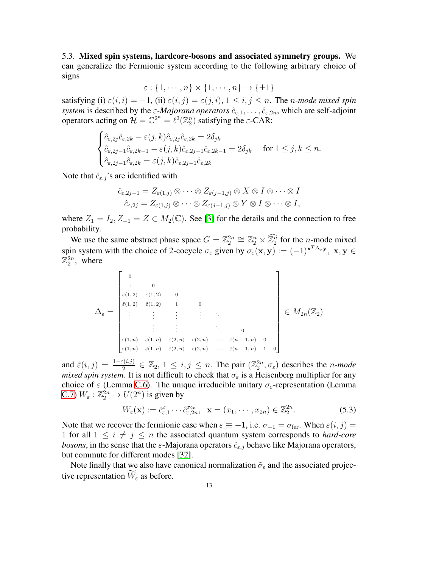<span id="page-12-0"></span>5.3. Mixed spin systems, hardcore-bosons and associated symmetry groups. We can generalize the Fermionic system according to the following arbitrary choice of signs

 $\varepsilon$  :  $\{1, \cdots, n\} \times \{1, \cdots, n\} \rightarrow \{\pm 1\}$ 

satisfying (i)  $\varepsilon(i, i) = -1$ , (ii)  $\varepsilon(i, j) = \varepsilon(j, i)$ ,  $1 \le i, j \le n$ . The *n-mode mixed spin system* is described by the  $\varepsilon$ -*Majorana operators*  $\hat{c}_{\varepsilon,1}, \ldots, \hat{c}_{\varepsilon,2n}$ , which are self-adjoint operators acting on  $\mathcal{H} = \mathbb{C}^{2^n} = \ell^2(\mathbb{Z}_2^n)$  satisfying the  $\varepsilon$ -CAR:

$$
\begin{cases} \n\hat{c}_{\varepsilon,2j}\hat{c}_{\varepsilon,2k} - \varepsilon(j,k)\hat{c}_{\varepsilon,2j}\hat{c}_{\varepsilon,2k} = 2\delta_{jk} \\
\hat{c}_{\varepsilon,2j-1}\hat{c}_{\varepsilon,2k-1} - \varepsilon(j,k)\hat{c}_{\varepsilon,2j-1}\hat{c}_{\varepsilon,2k-1} = 2\delta_{jk} \quad \text{ for } 1 \le j,k \le n. \\
\hat{c}_{\varepsilon,2j-1}\hat{c}_{\varepsilon,2k} = \varepsilon(j,k)\hat{c}_{\varepsilon,2j-1}\hat{c}_{\varepsilon,2k}\n\end{cases}
$$

Note that  $\hat{c}_{\varepsilon,j}$ 's are identified with

$$
\hat{c}_{\varepsilon,2j-1} = Z_{\varepsilon(1,j)} \otimes \cdots \otimes Z_{\varepsilon(j-1,j)} \otimes X \otimes I \otimes \cdots \otimes I
$$
  

$$
\hat{c}_{\varepsilon,2j} = Z_{\varepsilon(1,j)} \otimes \cdots \otimes Z_{\varepsilon(j-1,j)} \otimes Y \otimes I \otimes \cdots \otimes I,
$$

where  $Z_1 = I_2, Z_{-1} = Z \in M_2(\mathbb{C})$ . See [\[3\]](#page-31-15) for the details and the connection to free probability.

We use the same abstract phase space  $G = \mathbb{Z}_2^{2n} \cong \mathbb{Z}_2^n \times \mathbb{Z}_2^n$  for the n-mode mixed spin system with the choice of 2-cocycle  $\sigma_{\varepsilon}$  given by  $\sigma_{\varepsilon}(\mathbf{x}, \mathbf{y}) := (-1)^{\mathbf{x}^T \Delta_{\varepsilon} \mathbf{y}}, \mathbf{x}, \mathbf{y} \in$  $\mathbb{Z}_2^{2n}$ , where

$$
\Delta_{\varepsilon} = \begin{bmatrix}\n0 & & & & & & & \\
1 & 0 & & & & & & \\
\tilde{\varepsilon}(1,2) & \tilde{\varepsilon}(1,2) & 0 & & & & & \\
\tilde{\varepsilon}(1,2) & \tilde{\varepsilon}(1,2) & 1 & 0 & & & & \\
\vdots & \vdots & \vdots & \vdots & \ddots & \vdots & & \\
\vdots & \vdots & \vdots & \vdots & \ddots & \vdots & \vdots \\
\tilde{\varepsilon}(1,n) & \tilde{\varepsilon}(1,n) & \tilde{\varepsilon}(2,n) & \tilde{\varepsilon}(2,n) & \cdots & \tilde{\varepsilon}(n-1,n) & 0 \\
\tilde{\varepsilon}(1,n) & \tilde{\varepsilon}(1,n) & \tilde{\varepsilon}(2,n) & \tilde{\varepsilon}(2,n) & \cdots & \tilde{\varepsilon}(n-1,n) & 1\n\end{bmatrix} \in M_{2n}(\mathbb{Z}_2)
$$

and  $\tilde{\varepsilon}(i,j) = \frac{1-\varepsilon(i,j)}{2} \in \mathbb{Z}_2, 1 \leq i,j \leq n$ . The pair  $(\mathbb{Z}_2^{2n}, \sigma_{\varepsilon})$  describes the *n-mode mixed spin system*. It is not difficult to check that  $\sigma_{\varepsilon}$  is a Heisenberg multiplier for any choice of  $\varepsilon$  (Lemma [C.6\)](#page-22-0). The unique irreducible unitary  $\sigma_{\varepsilon}$ -representation (Lemma [C.7\)](#page-23-1)  $W_{\varepsilon} : \mathbb{Z}_2^{2n} \to U(2^n)$  is given by

<span id="page-12-1"></span>
$$
W_{\varepsilon}(\mathbf{x}) := \hat{c}_{\varepsilon,1}^{x_1} \cdots \hat{c}_{\varepsilon,2n}^{x_{2n}}, \quad \mathbf{x} = (x_1, \cdots, x_{2n}) \in \mathbb{Z}_2^{2n}.
$$

Note that we recover the fermionic case when  $\varepsilon \equiv -1$ , i.e.  $\sigma_{-1} = \sigma_{\text{fer}}$ . When  $\varepsilon(i, j) =$ 1 for all  $1 \leq i \neq j \leq n$  the associated quantum system corresponds to *hard-core bosons*, in the sense that the  $\varepsilon$ -Majorana operators  $\hat{c}_{\varepsilon,j}$  behave like Majorana operators, but commute for different modes [\[32\]](#page-32-14).

Note finally that we also have canonical normalization  $\tilde{\sigma}_{\varepsilon}$  and the associated projective representation  $\widetilde{W}_{\varepsilon}$  as before.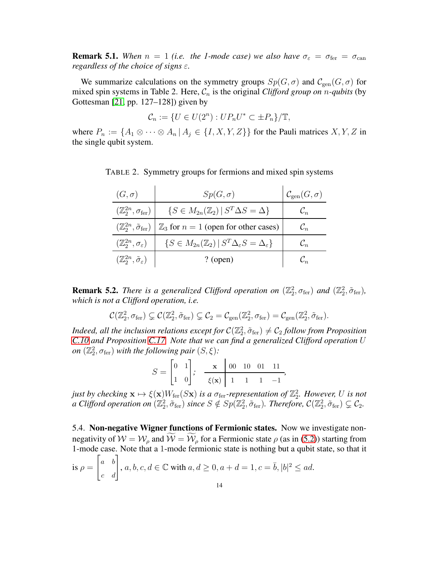**Remark 5.1.** When  $n = 1$  *(i.e. the 1-mode case) we also have*  $\sigma_{\epsilon} = \sigma_{\text{fer}} = \sigma_{\text{can}}$ *regardless of the choice of signs* ε*.*

We summarize calculations on the symmetry groups  $Sp(G, \sigma)$  and  $\mathcal{C}_{gen}(G, \sigma)$  for mixed spin systems in Table 2. Here,  $C_n$  is the original *Clifford group on n-qubits* (by Gottesman [\[21,](#page-31-7) pp. 127–128]) given by

$$
\mathcal{C}_n := \{ U \in U(2^n) : UP_n U^* \subset \pm P_n \} / \mathbb{T},
$$

where  $P_n := \{A_1 \otimes \cdots \otimes A_n | A_j \in \{I, X, Y, Z\}\}\$  for the Pauli matrices  $X, Y, Z$  in the single qubit system.

| $(G,\sigma)$                                        | $Sp(G,\sigma)$                                                                           | $\mathcal{C}_{gen}(G,\sigma)$ |
|-----------------------------------------------------|------------------------------------------------------------------------------------------|-------------------------------|
| $(\mathbb{Z}_2^{2n},\sigma_{\rm fer})$              | $\{S \in M_{2n}(\mathbb{Z}_2) \mid S^T \Delta S = \Delta\}$                              |                               |
| $(\mathbb{Z}_2^{2n},\tilde{\sigma}_{\text{fer}})$   | $\mathbb{Z}_3$ for $n = 1$ (open for other cases)                                        |                               |
| $(\mathbb{Z}_2^{2n}, \sigma_{\varepsilon})$         | $\{S \in M_{2n}(\mathbb{Z}_2) \mid S^T \Delta_{\varepsilon} S = \Delta_{\varepsilon}\}\$ | $\mathcal{C}_n$               |
| $(\mathbb{Z}_2^{2n}, \tilde{\sigma}_{\varepsilon})$ | $?$ (open)                                                                               |                               |

TABLE 2. Symmetry groups for fermions and mixed spin systems

**Remark 5.2.** *There is a generalized Clifford operation on*  $(\mathbb{Z}_2^2, \sigma_{\text{fer}})$  *and*  $(\mathbb{Z}_2^2, \tilde{\sigma}_{\text{fer}})$ *, which is not a Clifford operation, i.e.*

$$
\mathcal{C}(\mathbb{Z}_2^2, \sigma_{\mathrm{fer}}) \subsetneq \mathcal{C}(\mathbb{Z}_2^2, \tilde{\sigma}_{\mathrm{fer}}) \subsetneq \mathcal{C}_2 = \mathcal{C}_{\mathrm{gen}}(\mathbb{Z}_2^2, \sigma_{\mathrm{fer}}) = \mathcal{C}_{\mathrm{gen}}(\mathbb{Z}_2^2, \tilde{\sigma}_{\mathrm{fer}}).
$$

*Indeed, all the inclusion relations except for*  $C(\mathbb{Z}_2^2, \tilde{\sigma}_{\text{fer}}) \neq C_2$  *follow from Proposition [C.10](#page-24-1) and Proposition [C.17.](#page-27-0) Note that we can find a generalized Clifford operation* U *on*  $(\mathbb{Z}_2^2, \sigma_{\text{fer}})$  *with the following pair*  $(S, \xi)$ *:* 

$$
S = \begin{bmatrix} 0 & 1 \\ 1 & 0 \end{bmatrix}; \quad \frac{\mathbf{x}}{\xi(\mathbf{x})} \begin{bmatrix} 00 & 10 & 01 & 11 \\ 1 & 1 & 1 & -1 \end{bmatrix},
$$

*just by checking*  $\mathbf{x} \mapsto \xi(\mathbf{x})W_{\text{fer}}(S\mathbf{x})$  *is a*  $\sigma_{\text{fer}}$ -representation of  $\mathbb{Z}_2^2$ . However, U is not *a* Clifford operation on  $(\mathbb{Z}_2^2, \tilde{\sigma}_{\text{fer}})$  since  $S \notin Sp(\mathbb{Z}_2^2, \tilde{\sigma}_{\text{fer}})$ . Therefore,  $\mathcal{C}(\mathbb{Z}_2^2, \tilde{\sigma}_{\text{fer}}) \subsetneq \mathcal{C}_2$ .

<span id="page-13-0"></span>5.4. Non-negative Wigner functions of Fermionic states. Now we investigate nonnegativity of  $W = W_\rho$  and  $\widetilde{W} = \widetilde{W}_\rho$  for a Fermionic state  $\rho$  (as in [\(5.2\)](#page-11-0)) starting from 1-mode case. Note that a 1-mode fermionic state is nothing but a qubit state, so that it  $\sqrt{ }$ 

is 
$$
\rho = \begin{bmatrix} a & b \\ c & d \end{bmatrix}
$$
,  $a, b, c, d \in \mathbb{C}$  with  $a, d \ge 0$ ,  $a + d = 1$ ,  $c = \overline{b}$ ,  $|b|^2 \le ad$ .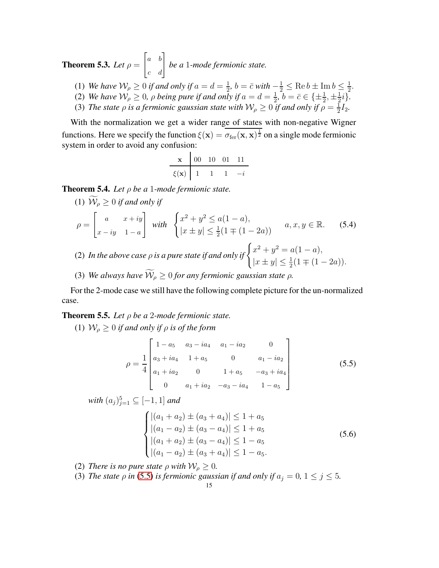<span id="page-14-1"></span>**Theorem 5.3.** *Let*  $\rho =$  $\begin{bmatrix} a & b \\ c & d \end{bmatrix}$ *be a* 1*-mode fermionic state.*

- (1) *We have*  $W_{\rho} \ge 0$  *if and only if*  $a = d = \frac{1}{2}$  $\frac{1}{2}$ ,  $b = \bar{c}$  *with*  $-\frac{1}{2} \leq \text{Re } b \pm \text{Im } b \leq \frac{1}{2}$  $rac{1}{2}$ .
- (2) *We have*  $W_{\rho} \geq 0$ ,  $\rho$  *being pure if and only if*  $a = d = \frac{1}{2}$  $\frac{1}{2}$ ,  $b = \bar{c} \in \{\pm \frac{1}{2}, \pm \frac{1}{2}\}$  $\frac{1}{2}i$ .
- (3) *The state*  $\rho$  *is a fermionic gaussian state with*  $\mathcal{W}_{\rho} \geq 0$  *if and only if*  $\rho = \frac{1}{2}$  $rac{1}{2}I_2.$

With the normalization we get a wider range of states with non-negative Wigner functions. Here we specify the function  $\xi(x) = \overline{\sigma_{\text{fer}}(x, x)^{\frac{1}{2}}}$  on a single mode fermionic system in order to avoid any confusion:

| x        | 00 | 10 | 01 | 11 |
|----------|----|----|----|----|
| $\xi(x)$ | 1  | 1  | 1  | -i |

<span id="page-14-4"></span>Theorem 5.4. *Let* ρ *be a* 1*-mode fermionic state.*

<span id="page-14-5"></span>(1) 
$$
W_{\rho} \ge 0
$$
 if and only if  
\n
$$
\rho = \begin{bmatrix} a & x+iy \\ x-iy & 1-a \end{bmatrix} with \begin{cases} x^2 + y^2 \le a(1-a), \\ |x \pm y| \le \frac{1}{2}(1 \mp (1-2a)) \end{cases} \quad a, x, y \in \mathbb{R}. \tag{5.4}
$$

- (2) In the above case  $\rho$  is a pure state if and only if  $\begin{cases} x^2 + y^2 = a(1 a), \\ 1 \leq a \leq a \end{cases}$  $|x \pm y| \leq \frac{1}{2}(1 \mp (1 - 2a)).$
- (3) *We always have*  $\widetilde{W}_\rho \geq 0$  *for any fermionic gaussian state*  $\rho$ *.*

For the 2-mode case we still have the following complete picture for the un-normalized case.

<span id="page-14-2"></span>Theorem 5.5. *Let* ρ *be a* 2*-mode fermionic state.*

(1)  $W_{\rho} \geq 0$  *if and only if*  $\rho$  *is of the form* 

<span id="page-14-0"></span>
$$
\rho = \frac{1}{4} \begin{bmatrix} 1 - a_5 & a_3 - ia_4 & a_1 - ia_2 & 0 \\ a_3 + ia_4 & 1 + a_5 & 0 & a_1 - ia_2 \\ a_1 + ia_2 & 0 & 1 + a_5 & -a_3 + ia_4 \\ 0 & a_1 + ia_2 & -a_3 - ia_4 & 1 - a_5 \end{bmatrix}
$$
(5.5)

 $with (a_j)_{j=1}^5 \subseteq [-1,1]$  and

<span id="page-14-3"></span>
$$
\begin{cases} |(a_1 + a_2) \pm (a_3 + a_4)| \le 1 + a_5 \\ |(a_1 - a_2) \pm (a_3 - a_4)| \le 1 + a_5 \\ |(a_1 + a_2) \pm (a_3 - a_4)| \le 1 - a_5 \\ |(a_1 - a_2) \pm (a_3 + a_4)| \le 1 - a_5. \end{cases}
$$
(5.6)

- (2) *There is no pure state*  $\rho$  *with*  $W_{\rho} \geq 0$ *.*
- (3) *The state*  $\rho$  *in* [\(5.5\)](#page-14-0) *is fermionic gaussian if and only if*  $a_j = 0$ ,  $1 \le j \le 5$ *.*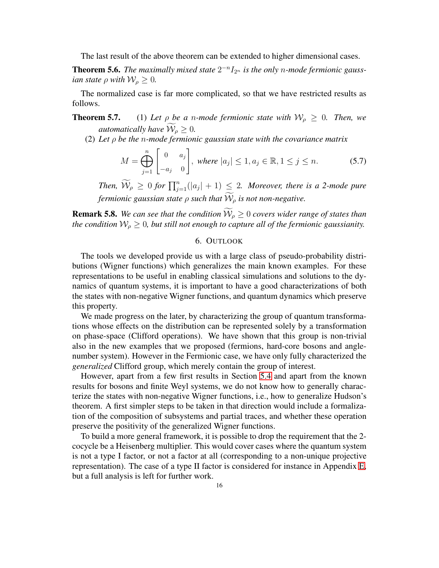The last result of the above theorem can be extended to higher dimensional cases.

<span id="page-15-0"></span>**Theorem 5.6.** The maximally mixed state  $2^{-n}I_{2^n}$  is the only *n*-mode fermionic gauss*ian state*  $\rho$  *with*  $W_{\rho} \geq 0$ *.* 

The normalized case is far more complicated, so that we have restricted results as follows.

**Theorem 5.7.** (1) Let  $\rho$  be a n-mode fermionic state with  $W_{\rho} \geq 0$ . Then, we *automatically have*  $\widetilde{\mathcal{W}}_{\rho} \geq 0$ *.* 

(2) *Let* ρ *be the* n*-mode fermionic gaussian state with the covariance matrix*

<span id="page-15-1"></span>
$$
M = \bigoplus_{j=1}^{n} \begin{bmatrix} 0 & a_j \\ -a_j & 0 \end{bmatrix}, \text{ where } |a_j| \le 1, a_j \in \mathbb{R}, 1 \le j \le n. \tag{5.7}
$$

*Then,*  $\widetilde{\mathcal{W}}_{\rho} \geq 0$  *for*  $\prod_{j=1}^{n}(|a_j| + 1) \leq 2$ *. Moreover, there is a 2-mode pure fermionic gaussian state*  $\rho$  *such that*  $\widetilde{W}_{\rho}$  *is not non-negative.* 

**Remark 5.8.** *We can see that the condition*  $\widetilde{\mathcal{W}}_{\rho} \geq 0$  *covers wider range of states than the condition*  $W_p \geq 0$ *, but still not enough to capture all of the fermionic gaussianity.* 

# 6. OUTLOOK

The tools we developed provide us with a large class of pseudo-probability distributions (Wigner functions) which generalizes the main known examples. For these representations to be useful in enabling classical simulations and solutions to the dynamics of quantum systems, it is important to have a good characterizations of both the states with non-negative Wigner functions, and quantum dynamics which preserve this property.

We made progress on the later, by characterizing the group of quantum transformations whose effects on the distribution can be represented solely by a transformation on phase-space (Clifford operations). We have shown that this group is non-trivial also in the new examples that we proposed (fermions, hard-core bosons and anglenumber system). However in the Fermionic case, we have only fully characterized the *generalized* Clifford group, which merely contain the group of interest.

However, apart from a few first results in Section [5.4](#page-13-0) and apart from the known results for bosons and finite Weyl systems, we do not know how to generally characterize the states with non-negative Wigner functions, i.e., how to generalize Hudson's theorem. A first simpler steps to be taken in that direction would include a formalization of the composition of subsystems and partial traces, and whether these operation preserve the positivity of the generalized Wigner functions.

To build a more general framework, it is possible to drop the requirement that the 2 cocycle be a Heisenberg multiplier. This would cover cases where the quantum system is not a type I factor, or not a factor at all (corresponding to a non-unique projective representation). The case of a type II factor is considered for instance in Appendix [E,](#page-30-0) but a full analysis is left for further work.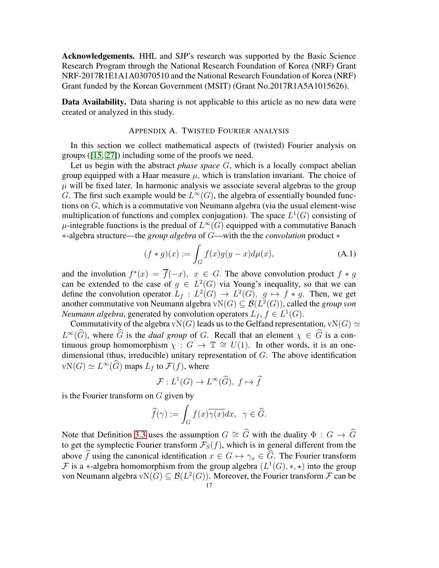Acknowledgements. HHL and SJP's research was supported by the Basic Science Research Program through the National Research Foundation of Korea (NRF) Grant NRF-2017R1E1A1A03070510 and the National Research Foundation of Korea (NRF) Grant funded by the Korean Government (MSIT) (Grant No.2017R1A5A1015626).

<span id="page-16-0"></span>Data Availability. Data sharing is not applicable to this article as no new data were created or analyzed in this study.

# APPENDIX A. TWISTED FOURIER ANALYSIS

In this section we collect mathematical aspects of (twisted) Fourier analysis on groups ([\[15,](#page-31-16) [27\]](#page-32-6)) including some of the proofs we need.

Let us begin with the abstract *phase space* G, which is a locally compact abelian group equipped with a Haar measure  $\mu$ , which is translation invariant. The choice of  $\mu$  will be fixed later. In harmonic analysis we associate several algebras to the group G. The first such example would be  $L^{\infty}(G)$ , the algebra of essentially bounded functions on G, which is a commutative von Neumann algebra (via the usual element-wise multiplication of functions and complex conjugation). The space  $L^1(G)$  consisting of  $\mu$ -integrable functions is the predual of  $L^{\infty}(G)$  equipped with a commutative Banach ∗-algebra structure—the *group algebra* of G—with the the *convolution* product ∗

$$
(f * g)(x) := \int_{G} f(x)g(y - x)d\mu(x),
$$
 (A.1)

and the involution  $f^*(x) = \overline{f}(-x)$ ,  $x \in G$ . The above convolution product  $f * g$ can be extended to the case of  $g \in L^2(G)$  via Young's inequality, so that we can define the convolution operator  $L_f : L^2(G) \to L^2(G)$ ,  $g \mapsto f * g$ . Then, we get another commutative von Neumann algebra  $vN(G) \subseteq B(L^2(G))$ , called the *group von Neumann algebra*, generated by convolution operators  $L_f$ ,  $f \in L^1(G)$ .

Commutativity of the algebra vN(G) leads us to the Gelfand representation, vN(G)  $\simeq$  $L^{\infty}(\widehat{G})$ , where  $\widehat{G}$  is the *dual group* of G. Recall that an element  $\chi \in \widehat{G}$  is a continuous group homomorphism  $\chi : G \to \mathbb{T} \cong U(1)$ . In other words, it is an onedimensional (thus, irreducible) unitary representation of G. The above identification  $vN(G) \simeq L^{\infty}(\widehat{G})$  maps  $L_f$  to  $\mathcal{F}(f)$ , where

$$
\mathcal{F}: L^1(G) \to L^\infty(\widehat{G}), \ f \mapsto \widehat{f}
$$

is the Fourier transform on G given by

$$
\widehat{f}(\gamma) := \int_G f(x)\overline{\gamma(x)}dx, \ \ \gamma \in \widehat{G}.
$$

Note that Definition [3.3](#page-4-0) uses the assumption  $G \cong \widehat{G}$  with the duality  $\Phi : G \to \widehat{G}$ to get the symplectic Fourier transform  $\mathcal{F}_S(f)$ , which is in general different from the above  $\widehat{f}$  using the canonical identification  $x \in G \mapsto \gamma_x \in \widehat{G}$ . The Fourier transform  $\mathcal F$  is a \*-algebra homomorphism from the group algebra  $(L^1(G), *, \star)$  into the group von Neumann algebra v $N(G) \subseteq \mathcal{B}(L^2(G))$ . Moreover, the Fourier transform  $\mathcal F$  can be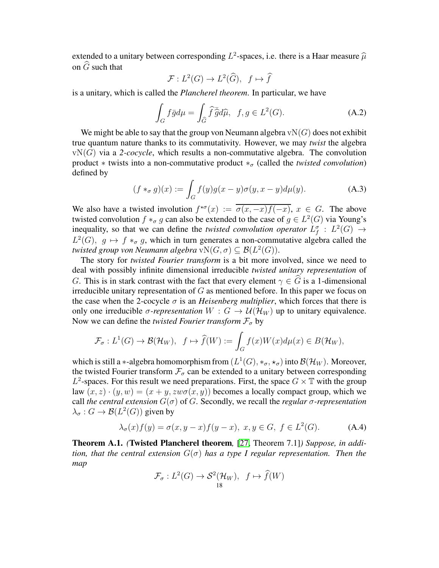extended to a unitary between corresponding  $L^2$ -spaces, i.e. there is a Haar measure  $\widehat{\mu}$ on  $\ddot{G}$  such that

$$
\mathcal{F}: L^2(G) \to L^2(\widehat{G}), \ f \mapsto \widehat{f}
$$

is a unitary, which is called the *Plancherel theorem*. In particular, we have

<span id="page-17-0"></span>
$$
\int_{G} f\bar{g}d\mu = \int_{\widehat{G}} \widehat{f}\bar{\widehat{g}}d\widehat{\mu}, \ \ f, g \in L^{2}(G). \tag{A.2}
$$

We might be able to say that the group von Neumann algebra  $vN(G)$  does not exhibit true quantum nature thanks to its commutativity. However, we may *twist* the algebra  $vN(G)$  via a 2-*cocycle*, which results a non-commutative algebra. The convolution product  $*$  twists into a non-commutative product  $*_{\sigma}$  (called the *twisted convolution*) defined by

$$
(f *_{\sigma} g)(x) := \int_{G} f(y)g(x - y)\sigma(y, x - y)d\mu(y).
$$
 (A.3)

We also have a twisted involution  $f^{\star\sigma}(x) := \overline{\sigma(x,-x)f(-x)}$ ,  $x \in G$ . The above twisted convolution  $f *_{\sigma} g$  can also be extended to the case of  $g \in L^2(G)$  via Young's inequality, so that we can define the *twisted convolution operator*  $L_f^{\sigma}$  :  $L^2(G) \rightarrow$  $L^2(G)$ ,  $g \mapsto f *_{\sigma} g$ , which in turn generates a non-commutative algebra called the *twisted group von Neumann algebra*  $vN(G, \sigma) \subseteq \mathcal{B}(L^2(G)).$ 

The story for *twisted Fourier transform* is a bit more involved, since we need to deal with possibly infinite dimensional irreducible *twisted unitary representation* of G. This is in stark contrast with the fact that every element  $\gamma \in \widehat{G}$  is a 1-dimensional irreducible unitary representation of G as mentioned before. In this paper we focus on the case when the 2-cocycle  $\sigma$  is an *Heisenberg multiplier*, which forces that there is only one irreducible *σ*-representation  $W : G \to \mathcal{U}(\mathcal{H}_W)$  up to unitary equivalence. Now we can define the *twisted Fourier transform*  $\mathcal{F}_{\sigma}$  by

$$
\mathcal{F}_{\sigma}: L^{1}(G) \to \mathcal{B}(\mathcal{H}_{W}), \ \ f \mapsto \widehat{f}(W) := \int_{G} f(x)W(x)d\mu(x) \in B(\mathcal{H}_{W}),
$$

which is still a \*-algebra homomorphism from  $(L^1(G), *_{\sigma}, *_{\sigma})$  into  $\mathcal{B}(\mathcal{H}_W)$ . Moreover, the twisted Fourier transform  $\mathcal{F}_{\sigma}$  can be extended to a unitary between corresponding  $L^2$ -spaces. For this result we need preparations. First, the space  $G \times T$  with the group law  $(x, z) \cdot (y, w) = (x + y, zw\sigma(x, y))$  becomes a locally compact group, which we call *the central extension* G(σ) of G. Secondly, we recall the *regular* σ*-representation*  $\lambda_{\sigma}: G \to \mathcal{B}(L^2(G))$  given by

<span id="page-17-2"></span>
$$
\lambda_{\sigma}(x)f(y) = \sigma(x, y - x)f(y - x), \ x, y \in G, \ f \in L^{2}(G). \tag{A.4}
$$

<span id="page-17-1"></span>Theorem A.1. *(*Twisted Plancherel theorem*,* [\[27,](#page-32-6) Theorem 7.1]*) Suppose, in addition, that the central extension*  $G(\sigma)$  *has a type I regular representation. Then the map*

$$
\mathcal{F}_{\sigma}: L^2(G) \to \mathcal{S}^2(\mathcal{H}_W), \quad f \mapsto \widehat{f}(W)
$$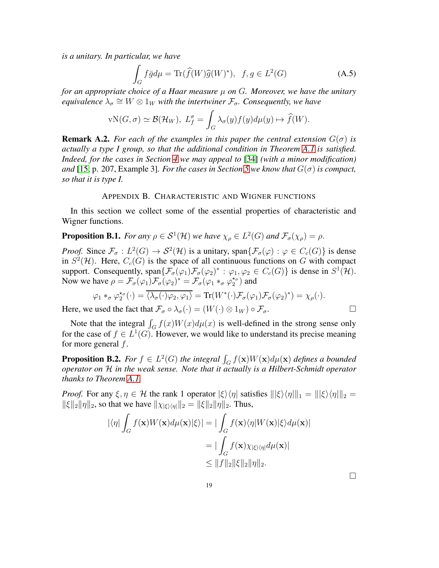*is a unitary. In particular, we have*

<span id="page-18-0"></span>
$$
\int_{G} f\bar{g}d\mu = \text{Tr}(\widehat{f}(W)\widehat{g}(W)^{*}), \ f, g \in L^{2}(G)
$$
\n(A.5)

*for an appropriate choice of a Haar measure* µ *on* G*. Moreover, we have the unitary equivalence*  $\lambda_{\sigma} \cong W \otimes 1_W$  with the intertwiner  $\mathcal{F}_{\sigma}$ . Consequently, we have

$$
vN(G, \sigma) \simeq \mathcal{B}(\mathcal{H}_W), \ L_f^{\sigma} = \int_G \lambda_{\sigma}(y) f(y) d\mu(y) \mapsto \widehat{f}(W).
$$

**Remark A.2.** *For each of the examples in this paper the central extension*  $G(\sigma)$  *is actually a type I group, so that the additional condition in Theorem [A.1](#page-17-1) is satisfied. Indeed, for the cases in Section [4](#page-7-1) we may appeal to* [\[34\]](#page-32-11) *(with a minor modification) and* [\[15,](#page-31-16) p. 207, Example 3]. *For the cases in Section* [5](#page-10-0) *we know that*  $G(\sigma)$  *is compact, so that it is type I.*

# APPENDIX B. CHARACTERISTIC AND WIGNER FUNCTIONS

In this section we collect some of the essential properties of characteristic and Wigner functions.

<span id="page-18-1"></span>**Proposition B.1.** *For any*  $\rho \in S^1(\mathcal{H})$  *we have*  $\chi_{\rho} \in L^2(G)$  *and*  $\mathcal{F}_{\sigma}(\chi_{\rho}) = \rho$ .

*Proof.* Since  $\mathcal{F}_{\sigma}: L^2(G) \to \mathcal{S}^2(\mathcal{H})$  is a unitary, span $\{\mathcal{F}_{\sigma}(\varphi) : \varphi \in C_c(G)\}$  is dense in  $S^2(\mathcal{H})$ . Here,  $C_c(G)$  is the space of all continuous functions on G with compact support. Consequently,  $\text{span}\{\mathcal{F}_{\sigma}(\varphi_1)\mathcal{F}_{\sigma}(\varphi_2)^* : \varphi_1, \varphi_2 \in C_c(G)\}$  is dense in  $S^1(\mathcal{H})$ . Now we have  $\rho = \mathcal{F}_{\sigma}(\varphi_1) \mathcal{F}_{\sigma}(\varphi_2)^* = \mathcal{F}_{\sigma}(\varphi_1 *_{\sigma} \varphi_2^* \varphi_1^*$  $\binom{\star\sigma}{2}$  and

$$
\varphi_1 *_{\sigma} \varphi_2^{*_{\sigma}}(\cdot) = \overline{\langle \lambda_{\sigma}(\cdot)\varphi_2, \varphi_1 \rangle} = \text{Tr}(W^*(\cdot)\mathcal{F}_{\sigma}(\varphi_1)\mathcal{F}_{\sigma}(\varphi_2)^*) = \chi_{\rho}(\cdot).
$$
\nused the fact that  $\mathcal{F}_{\rho}(\cdot) = (W(\cdot)\otimes 1_{\mathcal{F}}) \circ \mathcal{F}_{\rho}(\cdot)$ .

Here, we used the fact that  $\mathcal{F}_{\sigma} \circ \lambda_{\sigma}(\cdot) = (W(\cdot) \otimes 1_W) \circ \mathcal{F}_{\sigma}$ .

Note that the integral  $\int_G f(x)W(x)d\mu(x)$  is well-defined in the strong sense only for the case of  $f \in L^1(G)$ . However, we would like to understand its precise meaning for more general  $f$ .

<span id="page-18-2"></span>**Proposition B.2.** For  $f \in L^2(G)$  the integral  $\int_G f(\mathbf{x})W(\mathbf{x})d\mu(\mathbf{x})$  defines a bounded *operator on* H *in the weak sense. Note that it actually is a Hilbert-Schmidt operator thanks to Theorem [A.1.](#page-17-1)*

*Proof.* For any  $\xi, \eta \in H$  the rank 1 operator  $|\xi\rangle\langle\eta|$  satisfies  $\|\xi\rangle\langle\eta\|\|_1 = \|\xi\rangle\langle\eta\|\|_2 =$  $\|\xi\|_2 \|\eta\|_2$ , so that we have  $\|\chi_{\xi\|\eta\|_2} = \|\xi\|_2 \|\eta\|_2$ . Thus,

$$
\begin{aligned} |\langle \eta | \int_G f(\mathbf{x}) W(\mathbf{x}) d\mu(\mathbf{x}) | \xi \rangle | &= | \int_G f(\mathbf{x}) \langle \eta | W(\mathbf{x}) | \xi \rangle d\mu(\mathbf{x}) | \\ &= | \int_G f(\mathbf{x}) \chi_{|\xi\rangle\langle\eta|} d\mu(\mathbf{x}) | \\ &\le \|f\|_2 \|\xi\|_2 \|\eta\|_2. \end{aligned}
$$

 $\Box$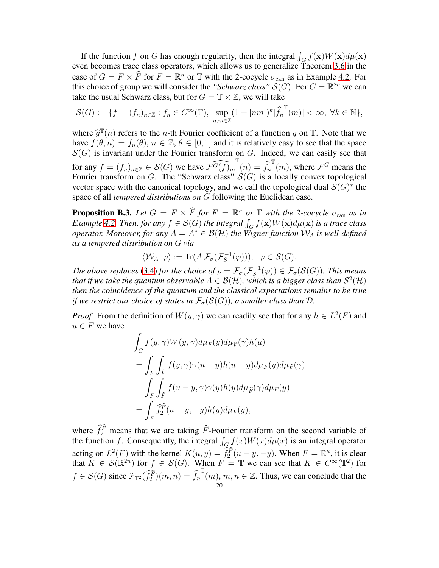If the function f on G has enough regularity, then the integral  $\int_G f(\mathbf{x})W(\mathbf{x})d\mu(\mathbf{x})$ even becomes trace class operators, which allows us to generalize Theorem [3.6](#page-5-1) in the case of  $G = F \times \overline{F}$  for  $F = \mathbb{R}^n$  or  $\mathbb{T}$  with the 2-cocycle  $\sigma_{\text{can}}$  as in Example 4.2. For this choice of group we will consider the "*Schwarz class*"  $S(G)$ . For  $G = \mathbb{R}^{2n}$  we can take the usual Schwarz class, but for  $G = \mathbb{T} \times \mathbb{Z}$ , we will take

$$
\mathcal{S}(G) := \{ f = (f_n)_{n \in \mathbb{Z}} : f_n \in C^{\infty}(\mathbb{T}), \sup_{n,m \in \mathbb{Z}} (1 + |nm|)^k |\widehat{f}_n^{\mathbb{T}}(m)| < \infty, \ \forall k \in \mathbb{N} \},\
$$

where  $\hat{g}^{\mathbb{T}}(n)$  refers to the *n*-th Fourier coefficient of a function g on  $\mathbb{T}$ . Note that we<br>have  $f(a_n) = f(a)$  and  $\mathbb{Z}^n$  and it is not integrate and the appear have  $f(\theta, n) = f_n(\theta), n \in \mathbb{Z}, \theta \in [0, 1]$  and it is relatively easy to see that the space  $S(G)$  is invariant under the Fourier transform on G. Indeed, we can easily see that for any  $f = (f_n)_{n \in \mathbb{Z}} \in \mathcal{S}(G)$  we have  $\widehat{\mathcal{F}^G(f)_m}^T(n) = \widehat{f}_n$  $\mathbb{T}(m)$ , where  $\mathcal{F}^G$  means the Fourier transform on G. The "Schwarz class"  $S(G)$  is a locally convex topological vector space with the canonical topology, and we call the topological dual  $\mathcal{S}(G)^*$  the space of all *tempered distributions on* G following the Euclidean case.

<span id="page-19-0"></span>**Proposition B.3.** Let  $G = F \times \widehat{F}$  for  $F = \mathbb{R}^n$  or  $\mathbb{T}$  with the 2-cocycle  $\sigma_{\text{can}}$  as in *Example 4.2. Then, for any*  $f \in S(G)$  *the integral*  $\int_G f(\mathbf{x})W(\mathbf{x})d\mu(\mathbf{x})$  *is a trace class operator. Moreover, for any*  $A = A^* \in \mathcal{B}(\mathcal{H})$  *the Wigner function*  $\mathcal{W}_A$  *is well-defined as a tempered distribution on* G *via*

$$
\langle \mathcal{W}_A, \varphi \rangle := \text{Tr}(A \,\mathcal{F}_\sigma(\mathcal{F}_S^{-1}(\varphi))), \ \ \varphi \in \mathcal{S}(G).
$$

*The above replaces* [\(3.4\)](#page-5-0) *for the choice of*  $\rho = \mathcal{F}_{\sigma}(\mathcal{F}_{S}^{-1})$  $(\mathcal{F}^{-1}(\varphi)) \in \mathcal{F}_{\sigma}(\mathcal{S}(G))$ . This means that if we take the quantum observable  $A\in{\mathcal B}({\mathcal H}),$  which is a bigger class than  ${\mathcal S}^2({\mathcal H})$ *then the coincidence of the quantum and the classical expectations remains to be true if we restrict our choice of states in*  $\mathcal{F}_{\sigma}(\mathcal{S}(G))$ *, a smaller class than*  $\mathcal{D}$ *.* 

*Proof.* From the definition of  $W(y, \gamma)$  we can readily see that for any  $h \in L^2(F)$  and  $u \in F$  we have

$$
\int_{G} f(y, \gamma) W(y, \gamma) d\mu_{F}(y) d\mu_{\hat{F}}(\gamma) h(u)
$$
\n
$$
= \int_{F} \int_{\hat{F}} f(y, \gamma) \gamma(u - y) h(u - y) d\mu_{F}(y) d\mu_{\hat{F}}(\gamma)
$$
\n
$$
= \int_{F} \int_{\hat{F}} f(u - y, \gamma) \gamma(y) h(y) d\mu_{\hat{F}}(\gamma) d\mu_{F}(y)
$$
\n
$$
= \int_{F} \hat{f}_{2}^{\hat{F}} (u - y, -y) h(y) d\mu_{F}(y),
$$

where  $\widehat{f}_2^{\widehat{F}}$  means that we are taking  $\widehat{F}$ -Fourier transform on the second variable of the function f. Consequently, the integral  $\int_G f(x)W(x)d\mu(x)$  is an integral operator acting on  $L^2(F)$  with the kernel  $K(u, y) = \widetilde{f}_2^{\widehat{F}}(u - y, -y)$ . When  $F = \mathbb{R}^n$ , it is clear that  $K \in \mathcal{S}(\mathbb{R}^{2n})$  for  $f \in \mathcal{S}(G)$ . When  $F = \mathbb{T}$  we can see that  $K \in C^{\infty}(\mathbb{T}^{2})$  for  $f \in \mathcal{S}(G)$  since  $\mathcal{F}_{\mathbb{T}^2}(\widehat{f}_2^{\widehat{F}})(m,n) = \widehat{f}_n$  $\int_{20}^{\mathbb{T}} (m)$ ,  $m, n \in \mathbb{Z}$ . Thus, we can conclude that the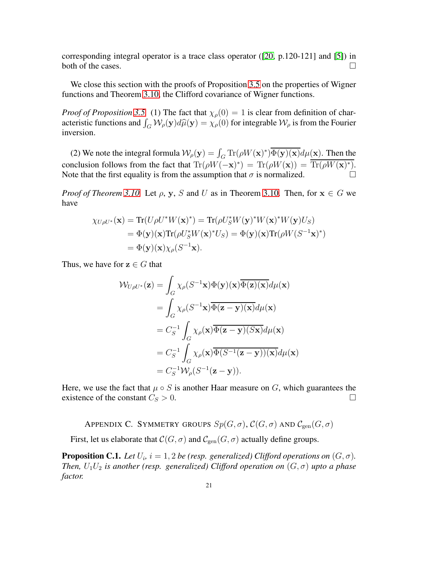corresponding integral operator is a trace class operator  $(20, p.120-121]$  and [\[5\]](#page-31-18)) in both of the cases.  $\Box$ 

We close this section with the proofs of Proposition [3.5](#page-4-1) on the properties of Wigner functions and Theorem [3.10,](#page-6-0) the Clifford covariance of Wigner functions.

*Proof of Proposition* [3.5.](#page-4-1) (1) The fact that  $\chi_{\rho}(0) = 1$  is clear from definition of characteristic functions and  $\int_G W_\rho(\mathbf{y}) d\hat{\mu}(\mathbf{y}) = \chi_\rho(0)$  for integrable  $W_\rho$  is from the Fourier inversion.

(2) We note the integral formula  $W_{\rho}(\mathbf{y}) = \int_G \text{Tr}(\rho W(\mathbf{x})^*) \overline{\Phi(\mathbf{y})(\mathbf{x})} d\mu(\mathbf{x})$ . Then the conclusion follows from the fact that  $\text{Tr}(\rho W(-\mathbf{x})^*) = \text{Tr}(\rho W(\mathbf{x})) = \overline{\text{Tr}(\rho W(\mathbf{x})^*)}$ . Note that the first equality is from the assumption that  $\sigma$  is normalized.

*Proof of Theorem [3.10.](#page-6-0)* Let  $\rho$ ,  $y$ ,  $S$  and  $U$  as in Theorem 3.10. Then, for  $x \in G$  we have

$$
\chi_{U\rho U^*}(\mathbf{x}) = \text{Tr}(U\rho U^* W(\mathbf{x})^*) = \text{Tr}(\rho U_S^* W(\mathbf{y})^* W(\mathbf{x})^* W(\mathbf{y}) U_S)
$$
  
=  $\Phi(\mathbf{y})(\mathbf{x}) \text{Tr}(\rho U_S^* W(\mathbf{x})^* U_S) = \Phi(\mathbf{y})(\mathbf{x}) \text{Tr}(\rho W(S^{-1}\mathbf{x})^*)$   
=  $\Phi(\mathbf{y})(\mathbf{x}) \chi_\rho(S^{-1}\mathbf{x}).$ 

Thus, we have for  $z \in G$  that

$$
\mathcal{W}_{U\rho U^*}(\mathbf{z}) = \int_G \chi_{\rho}(S^{-1}\mathbf{x}) \Phi(\mathbf{y})(\mathbf{x}) \overline{\Phi(\mathbf{z})(\mathbf{x})} d\mu(\mathbf{x}) \n= \int_G \chi_{\rho}(S^{-1}\mathbf{x}) \overline{\Phi(\mathbf{z} - \mathbf{y})(\mathbf{x})} d\mu(\mathbf{x}) \n= C_S^{-1} \int_G \chi_{\rho}(\mathbf{x}) \overline{\Phi(\mathbf{z} - \mathbf{y})(S\mathbf{x})} d\mu(\mathbf{x}) \n= C_S^{-1} \int_G \chi_{\rho}(\mathbf{x}) \overline{\Phi(S^{-1}(\mathbf{z} - \mathbf{y}))(\mathbf{x})} d\mu(\mathbf{x}) \n= C_S^{-1} \mathcal{W}_{\rho}(S^{-1}(\mathbf{z} - \mathbf{y})).
$$

Here, we use the fact that  $\mu \circ S$  is another Haar measure on G, which guarantees the existence of the constant  $C_s > 0$ existence of the constant  $C_S > 0$ .

<span id="page-20-0"></span>APPENDIX C. SYMMETRY GROUPS  $Sp(G,\sigma)$ ,  $\mathcal{C}(G,\sigma)$  and  $\mathcal{C}_{\text{gen}}(G,\sigma)$ 

First, let us elaborate that  $C(G, \sigma)$  and  $C_{gen}(G, \sigma)$  actually define groups.

**Proposition C.1.** Let  $U_i$ ,  $i = 1, 2$  be (resp. generalized) Clifford operations on  $(G, \sigma)$ . *Then,*  $U_1U_2$  *is another (resp. generalized) Clifford operation on*  $(G, \sigma)$  *upto a phase factor.*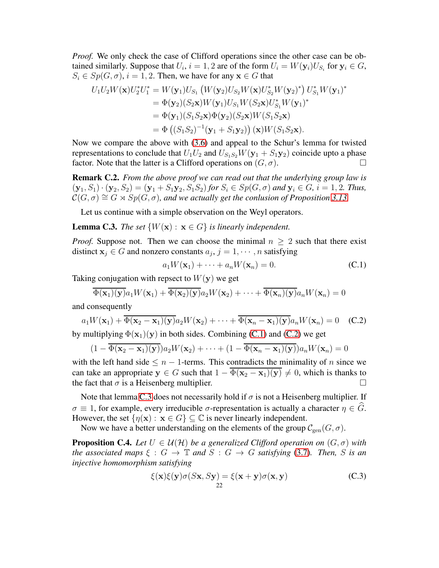*Proof.* We only check the case of Clifford operations since the other case can be obtained similarly. Suppose that  $U_i$ ,  $i = 1, 2$  are of the form  $U_i = W(\mathbf{y}_i)U_{S_i}$  for  $\mathbf{y}_i \in G$ ,  $S_i \in Sp(G, \sigma), i = 1, 2$ . Then, we have for any  $\mathbf{x} \in G$  that

$$
U_1 U_2 W(\mathbf{x}) U_2^* U_1^* = W(\mathbf{y}_1) U_{S_1} (W(\mathbf{y}_2) U_{S_2} W(\mathbf{x}) U_{S_2}^* W(\mathbf{y}_2)^*) U_{S_1}^* W(\mathbf{y}_1)^*
$$
  
\n
$$
= \Phi(\mathbf{y}_2) (S_2 \mathbf{x}) W(\mathbf{y}_1) U_{S_1} W(S_2 \mathbf{x}) U_{S_1}^* W(\mathbf{y}_1)^*
$$
  
\n
$$
= \Phi(\mathbf{y}_1) (S_1 S_2 \mathbf{x}) \Phi(\mathbf{y}_2) (S_2 \mathbf{x}) W(S_1 S_2 \mathbf{x})
$$
  
\n
$$
= \Phi ((S_1 S_2)^{-1} (\mathbf{y}_1 + S_1 \mathbf{y}_2)) (\mathbf{x}) W(S_1 S_2 \mathbf{x}).
$$

Now we compare the above with [\(3.6\)](#page-6-1) and appeal to the Schur's lemma for twisted representations to conclude that  $U_1U_2$  and  $U_{S_1S_2}W(\mathbf{y}_1 + S_1\mathbf{y}_2)$  coincide upto a phase factor. Note that the latter is a Clifford operations on  $(G, \sigma)$ .

<span id="page-21-0"></span>**Remark C.2.** *From the above proof we can read out that the underlying group law is*  $(y_1, S_1) \cdot (y_2, S_2) = (y_1 + S_1y_2, S_1S_2)$  *for*  $S_i \in Sp(G, \sigma)$  *and*  $y_i \in G$ *,*  $i = 1, 2$ *. Thus,*  $\mathcal{C}(G,\sigma) \cong G \rtimes Sp(G,\sigma)$ , and we actually get the conlusion of Proposition [3.13.](#page-6-2)

Let us continue with a simple observation on the Weyl operators.

<span id="page-21-4"></span>**Lemma C.3.** *The set*  $\{W(\mathbf{x}) : \mathbf{x} \in G\}$  *is linearly independent.* 

*Proof.* Suppose not. Then we can choose the minimal  $n > 2$  such that there exist distinct  $x_j \in G$  and nonzero constants  $a_j$ ,  $j = 1, \dots, n$  satisfying

<span id="page-21-2"></span>
$$
a_1W(\mathbf{x}_1) + \dots + a_nW(\mathbf{x}_n) = 0.
$$
 (C.1)

Taking conjugation with repsect to  $W(y)$  we get

$$
\overline{\Phi(\mathbf{x}_1)(\mathbf{y})}a_1W(\mathbf{x}_1)+\overline{\Phi(\mathbf{x}_2)(\mathbf{y})}a_2W(\mathbf{x}_2)+\cdots+\overline{\Phi(\mathbf{x}_n)(\mathbf{y})}a_nW(\mathbf{x}_n)=0
$$

and consequently

<span id="page-21-3"></span>
$$
a_1W(\mathbf{x}_1) + \overline{\Phi(\mathbf{x}_2 - \mathbf{x}_1)(\mathbf{y})}a_2W(\mathbf{x}_2) + \dots + \overline{\Phi(\mathbf{x}_n - \mathbf{x}_1)(\mathbf{y})}a_nW(\mathbf{x}_n) = 0 \quad \text{(C.2)}
$$

by multiplying  $\Phi(\mathbf{x}_1)(\mathbf{y})$  in both sides. Combining [\(C.1\)](#page-21-2) and [\(C.2\)](#page-21-3) we get

$$
(1 - \overline{\Phi(\mathbf{x}_2 - \mathbf{x}_1)(\mathbf{y})})a_2W(\mathbf{x}_2) + \cdots + (1 - \overline{\Phi(\mathbf{x}_n - \mathbf{x}_1)(\mathbf{y})})a_nW(\mathbf{x}_n) = 0
$$

with the left hand side  $\leq n-1$ -terms. This contradicts the minimality of n since we can take an appropriate  $y \in G$  such that  $1 - \overline{\Phi(x_2 - x_1)(y)} \neq 0$ , which is thanks to the fact that  $\sigma$  is a Heisenberg multiplier. the fact that  $\sigma$  is a Heisenberg multiplier.

Note that lemma [C.3](#page-21-4) does not necessarily hold if  $\sigma$  is not a Heisenberg multiplier. If  $\sigma \equiv 1$ , for example, every irreducible  $\sigma$ -representation is actually a character  $\eta \in G$ . However, the set  $\{\eta(\mathbf{x}) : \mathbf{x} \in G\} \subseteq \mathbb{C}$  is never linearly independent.

Now we have a better understanding on the elements of the group  $\mathcal{C}_{gen}(G, \sigma)$ .

<span id="page-21-1"></span>**Proposition C.4.** Let  $U \in \mathcal{U}(\mathcal{H})$  be a generalized Clifford operation on  $(G, \sigma)$  with *the associated maps*  $\xi : G \to \mathbb{T}$  *and*  $S : G \to G$  *satisfying* [\(3.7\)](#page-6-3)*. Then,* S *is an injective homomorphism satisfying*

<span id="page-21-5"></span>
$$
\xi(\mathbf{x})\xi(\mathbf{y})\sigma(S\mathbf{x},S\mathbf{y}) = \xi(\mathbf{x} + \mathbf{y})\sigma(\mathbf{x},\mathbf{y})
$$
 (C.3)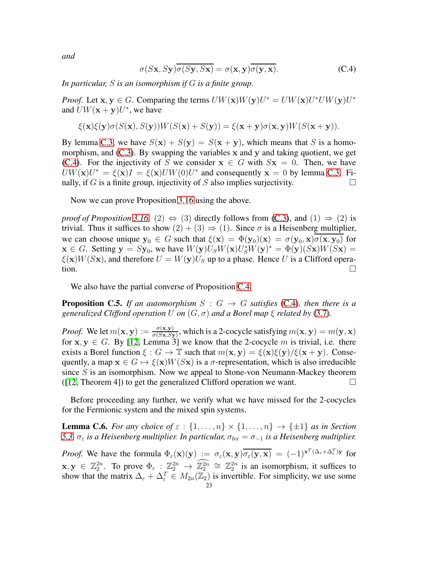*and*

<span id="page-22-1"></span>
$$
\sigma(S\mathbf{x}, S\mathbf{y})\overline{\sigma(S\mathbf{y}, S\mathbf{x})} = \sigma(\mathbf{x}, \mathbf{y})\overline{\sigma(\mathbf{y}, \mathbf{x})}.
$$
 (C.4)

*In particular,* S *is an isomorphism if* G *is a finite group.*

*Proof.* Let  $\mathbf{x}, \mathbf{y} \in G$ . Comparing the terms  $U W(\mathbf{x}) W(\mathbf{y}) U^* = U W(\mathbf{x}) U^* U W(\mathbf{y}) U^*$ and  $U W(\mathbf{x} + \mathbf{y}) U^*$ , we have

$$
\xi(\mathbf{x})\xi(\mathbf{y})\sigma(S(\mathbf{x}),S(\mathbf{y}))W(S(\mathbf{x})+S(\mathbf{y}))=\xi(\mathbf{x}+\mathbf{y})\sigma(\mathbf{x},\mathbf{y})W(S(\mathbf{x}+\mathbf{y})).
$$

By lemma [C.3,](#page-21-4) we have  $S(x) + S(y) = S(x + y)$ , which means that S is a homomorphism, and  $(C.3)$ . By swapping the variables x and y and taking quotient, we get [\(C.4\)](#page-22-1). For the injectivity of S we consider  $x \in G$  with  $Sx = 0$ . Then, we have  $UW(\mathbf{x})U^* = \xi(\mathbf{x})I = \xi(\mathbf{x})UW(0)U^*$  and consequently  $\mathbf{x} = 0$  by lemma [C.3.](#page-21-4) Finally, if G is a finite group, injectivity of S also implies surjectivity.

Now we can prove Proposition [3.16](#page-6-4) using the above.

*proof of Proposition* [3.16.](#page-6-4) (2)  $\Leftrightarrow$  (3) directly follows from [\(C.3\)](#page-21-5), and (1)  $\Rightarrow$  (2) is trivial. Thus it suffices to show  $(2) + (3) \Rightarrow (1)$ . Since  $\sigma$  is a Heisenberg multiplier, we can choose unique  $y_0 \in G$  such that  $\xi(x) = \Phi(y_0)(x) = \sigma(y_0, x)\sigma(x, y_0)$  for  $\mathbf{x} \in G$ . Setting  $\mathbf{y} = S\mathbf{y}_0$ , we have  $W(\mathbf{y})U_S W(\mathbf{x})U_S^* W(\mathbf{y})^* = \Phi(\mathbf{y})(S\mathbf{x})W(S\mathbf{x}) =$  $\xi({\bf x})W(S{\bf x})$ , and therefore  $U = W({\bf y})U_S$  up to a phase. Hence U is a Clifford opera- $\overline{\text{tion}}$ .

We also have the partial converse of Proposition [C.4.](#page-21-1)

<span id="page-22-2"></span>**Proposition C.5.** *If an automorphism*  $S : G \rightarrow G$  *satisfies* [\(C.4\)](#page-22-1)*, then there is a generalized Clifford operation* U *on*  $(G, \sigma)$  *and a Borel map*  $\xi$  *related by* [\(3.7\)](#page-6-3).

*Proof.* We let  $m(\mathbf{x}, \mathbf{y}) := \frac{\sigma(\mathbf{x}, \mathbf{y})}{\sigma(S\mathbf{x}, S\mathbf{y})}$ , which is a 2-cocycle satisfying  $m(\mathbf{x}, \mathbf{y}) = m(\mathbf{y}, \mathbf{x})$ for  $x, y \in G$ . By [\[12,](#page-31-10) Lemma 3] we know that the 2-cocycle m is trivial, i.e. there exists a Borel function  $\xi: G \to \mathbb{T}$  such that  $m(\mathbf{x}, \mathbf{y}) = \xi(\mathbf{x})\xi(\mathbf{y})/\xi(\mathbf{x} + \mathbf{y})$ . Consequently, a map  $x \in G \mapsto \xi(x)W(Sx)$  is a  $\sigma$ -representation, which is also irreducible since  $S$  is an isomorphism. Now we appeal to Stone-von Neumann-Mackey theorem ([\[12,](#page-31-10) Theorem 4]) to get the generalized Clifford operation we want.  $\Box$ 

Before proceeding any further, we verify what we have missed for the 2-cocycles for the Fermionic system and the mixed spin systems.

<span id="page-22-0"></span>**Lemma C.6.** *For any choice of*  $\varepsilon : \{1, \ldots, n\} \times \{1, \ldots, n\} \rightarrow \{\pm 1\}$  *as in Section [5.3,](#page-12-0)*  $\sigma_{\varepsilon}$  *is a Heisenberg multiplier. In particular,*  $\sigma_{\text{fer}} = \sigma_{-1}$  *is a Heisenberg multiplier.* 

*Proof.* We have the formula  $\Phi_{\varepsilon}(\mathbf{x})(\mathbf{y}) := \sigma_{\varepsilon}(\mathbf{x}, \mathbf{y}) \overline{\sigma_{\varepsilon}(\mathbf{y}, \mathbf{x})} = (-1)^{\mathbf{x}^T (\Delta_{\varepsilon} + \Delta_{\varepsilon}^T) \mathbf{y}}$  for  $x, y \in \mathbb{Z}_2^{2n}$ . To prove  $\Phi_{\varepsilon}: \mathbb{Z}_2^{2n} \to \mathbb{Z}_2^{2n} \cong \mathbb{Z}_2^{2n}$  is an isomorphism, it suffices to show that the matrix  $\Delta_{\varepsilon} + \Delta_{\varepsilon}^T \in M_{2n}(\mathbb{Z}_2)$  is invertible. For simplicity, we use some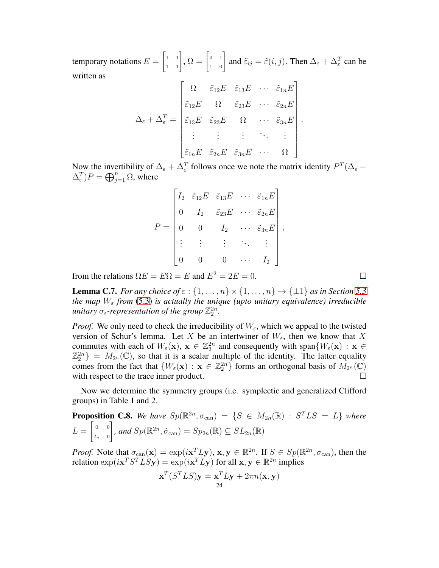temporary notations  $E =$  $\begin{bmatrix} 1 & 1 \\ 1 & 1 \end{bmatrix}$ ,  $\Omega = \begin{bmatrix} 0 & 1 \\ 1 & 0 \end{bmatrix}$  and  $\tilde{\varepsilon}_{ij} = \tilde{\varepsilon}(i, j)$ . Then  $\Delta_{\varepsilon} + \Delta_{\varepsilon}^T$  can be written as

$$
\Delta_{\varepsilon} + \Delta_{\varepsilon}^{T} = \begin{bmatrix} \Omega & \tilde{\varepsilon}_{12}E & \tilde{\varepsilon}_{13}E & \cdots & \tilde{\varepsilon}_{1n}E \\ \tilde{\varepsilon}_{12}E & \Omega & \tilde{\varepsilon}_{23}E & \cdots & \tilde{\varepsilon}_{2n}E \\ \tilde{\varepsilon}_{13}E & \tilde{\varepsilon}_{23}E & \Omega & \cdots & \tilde{\varepsilon}_{3n}E \\ \vdots & \vdots & \vdots & \ddots & \vdots \\ \tilde{\varepsilon}_{1n}E & \tilde{\varepsilon}_{2n}E & \tilde{\varepsilon}_{3n}E & \cdots & \Omega \end{bmatrix}
$$

.

Now the invertibility of  $\Delta_{\varepsilon} + \Delta_{\varepsilon}^{T}$  follows once we note the matrix identity  $P^{T}(\Delta_{\varepsilon} +$  $(\Delta_{\varepsilon}^T)P = \bigoplus_{j=1}^n \Omega$ , where

$$
P = \begin{bmatrix} I_2 & \tilde{\varepsilon}_{12}E & \tilde{\varepsilon}_{13}E & \cdots & \tilde{\varepsilon}_{1n}E \\ 0 & I_2 & \tilde{\varepsilon}_{23}E & \cdots & \tilde{\varepsilon}_{2n}E \\ 0 & 0 & I_2 & \cdots & \tilde{\varepsilon}_{3n}E \\ \vdots & \vdots & \vdots & \ddots & \vdots \\ 0 & 0 & 0 & \cdots & I_2 \end{bmatrix},
$$

from the relations  $\Omega E = E\Omega = E$  and  $E^2 = 2E = 0$ .

<span id="page-23-1"></span>**Lemma C.7.** *For any choice of*  $\varepsilon$  :  $\{1, \ldots, n\} \times \{1, \ldots, n\} \rightarrow \{\pm 1\}$  *as in Section* [5.3](#page-12-0) *the map*  $W_{\varepsilon}$  *from* [\(5.3\)](#page-12-1) *is actually the unique (upto unitary equivalence) irreducible* unitary  $\sigma_{\varepsilon}$ -representation of the group  $\mathbb{Z}_2^{2n}$ .

*Proof.* We only need to check the irreducibility of  $W_{\varepsilon}$ , which we appeal to the twisted version of Schur's lemma. Let X be an intertwiner of  $W_{\varepsilon}$ , then we know that X commutes with each of  $W_{\varepsilon}(\mathbf{x}), \mathbf{x} \in \mathbb{Z}_2^{2n}$  and consequently with span $\{W_{\varepsilon}(\mathbf{x}) : \mathbf{x} \in \mathbb{Z}_2^{2n}\}$  $\mathbb{Z}_2^{2n}$  =  $M_{2^n}(\mathbb{C})$ , so that it is a scalar multiple of the identity. The latter equality comes from the fact that  $\{W_{\varepsilon}(\mathbf{x}) : \mathbf{x} \in \mathbb{Z}_2^{2n}\}$  forms an orthogonal basis of  $M_{2^n}(\mathbb{C})$ with respect to the trace inner product.  $\Box$ 

Now we determine the symmetry groups (i.e. symplectic and generalized Clifford groups) in Table 1 and 2.

<span id="page-23-0"></span>**Proposition C.8.** We have 
$$
Sp(\mathbb{R}^{2n}, \sigma_{\text{can}}) = \{S \in M_{2n}(\mathbb{R}) : S^TLS = L\}
$$
 where 
$$
L = \begin{bmatrix} 0 & 0 \ I_n & 0 \end{bmatrix}
$$
, and  $Sp(\mathbb{R}^{2n}, \tilde{\sigma}_{\text{can}}) = Sp_{2n}(\mathbb{R}) \subseteq SL_{2n}(\mathbb{R})$ 

*Proof.* Note that  $\sigma_{\text{can}}(\mathbf{x}) = \exp(i\mathbf{x}^T L \mathbf{y}), \mathbf{x}, \mathbf{y} \in \mathbb{R}^{2n}$ . If  $S \in Sp(\mathbb{R}^{2n}, \sigma_{\text{can}})$ , then the relation  $\exp(i\mathbf{x}^T S^T L S \mathbf{y}) = \exp(i\mathbf{x}^T L \mathbf{y})$  for all  $\mathbf{x}, \mathbf{y} \in \mathbb{R}^{2n}$  implies

$$
\mathbf{x}^T(S^TLS)\mathbf{y} = \mathbf{x}^T L\mathbf{y} + 2\pi n(\mathbf{x}, \mathbf{y})
$$
  
24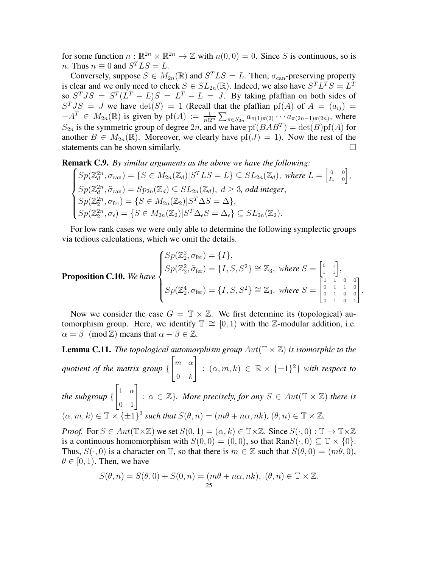for some function  $n : \mathbb{R}^{2n} \times \mathbb{R}^{2n} \to \mathbb{Z}$  with  $n(0, 0) = 0$ . Since S is continuous, so is *n*. Thus  $n \equiv 0$  and  $S<sup>T</sup>LS = L$ .

Conversely, suppose  $S \in M_{2n}(\mathbb{R})$  and  $S^T L S = L$ . Then,  $\sigma_{\text{can}}$ -preserving property is clear and we only need to check  $S \in SL_{2n}(\mathbb{R})$ . Indeed, we also have  $S^T L^T S = L^T$ so  $S^{T}JS = S^{T}(L^{T} - L)S = L^{T} - L = J$ . By taking pfaffian on both sides of  $S<sup>T</sup> JS = J$  we have  $det(S) = 1$  (Recall that the pfaffian  $pf(A)$  of  $A = (a_{ij}) =$  $-A^T \in M_{2n}(\mathbb{R})$  is given by  $pf(A) := \frac{1}{n!2^n} \sum_{\pi \in S_{2n}} a_{\pi(1)\pi(2)} \cdots a_{\pi(2n-1)\pi(2n)}$ , where  $S_{2n}$  is the symmetric group of degree  $2n$ , and we have  $pf(BAB^T) = det(B)pf(A)$  for another  $B \in M_{2n}(\mathbb{R})$ . Moreover, we clearly have  $pf(J) = 1$ ). Now the rest of the statements can be shown similarly. statements can be shown similarly.

<span id="page-24-0"></span>Remark C.9. *By similar arguments as the above we have the following:*

$$
\begin{cases}\nSp(\mathbb{Z}_d^{2n}, \sigma_{\text{can}}) = \{S \in M_{2n}(\mathbb{Z}_d) | S^T L S = L\} \subseteq SL_{2n}(\mathbb{Z}_d), \text{ where } L = \begin{bmatrix} 0 & 0 \\ L_n & 0 \end{bmatrix}, \\
Sp(\mathbb{Z}_d^{2n}, \tilde{\sigma}_{\text{can}}) = Sp_{2n}(\mathbb{Z}_d) \subseteq SL_{2n}(\mathbb{Z}_d), \ d \geq 3, \text{ odd integer}, \\
Sp(\mathbb{Z}_2^{2n}, \sigma_{\text{fer}}) = \{S \in M_{2n}(\mathbb{Z}_2) | S^T \Delta S = \Delta\}, \\
Sp(\mathbb{Z}_2^{2n}, \sigma_{\epsilon}) = \{S \in M_{2n}(\mathbb{Z}_2) | S^T \Delta_{\epsilon} S = \Delta_{\epsilon}\} \subseteq SL_{2n}(\mathbb{Z}_2).\n\end{cases}
$$

For low rank cases we were only able to determine the following symplectic groups via tedious calculations, which we omit the details.

<span id="page-24-1"></span>**Proposition C.10.** We have\n
$$
\begin{cases}\nSp(\mathbb{Z}_2^2, \sigma_{\text{fer}}) = \{I\}, \\
Sp(\mathbb{Z}_2^2, \tilde{\sigma}_{\text{fer}}) = \{I, S, S^2\} \cong \mathbb{Z}_3, \text{ where } S = \begin{bmatrix} 0 & 1 \\ 1 & 1 \end{bmatrix}, \\
Sp(\mathbb{Z}_2^4, \sigma_{\text{fer}}) = \{I, S, S^2\} \cong \mathbb{Z}_3, \text{ where } S = \begin{bmatrix} 1 & 1 & 0 & 0 \\ 0 & 1 & 1 & 0 \\ 0 & 1 & 0 & 0 \\ 0 & 1 & 0 & 1 \end{bmatrix}.\n\end{cases}
$$

Now we consider the case  $G = \mathbb{T} \times \mathbb{Z}$ . We first determine its (topological) automorphism group. Here, we identify  $\mathbb{T} \cong [0, 1)$  with the Z-modular addition, i.e.  $\alpha = \beta \pmod{\mathbb{Z}}$  means that  $\alpha - \beta \in \mathbb{Z}$ .

<span id="page-24-2"></span>**Lemma C.11.** *The topological automorphism group*  $Aut(\mathbb{T} \times \mathbb{Z})$  *is isomorphic to the quotient of the matrix group* {  $\lceil m \rceil$  $0 \quad k$ 1  $: (\alpha, m, k) \in \mathbb{R} \times {\{\pm 1\}^2}$  with respect to *the subgroup* {  $\begin{bmatrix} 1 & \alpha \\ 0 & 1 \end{bmatrix}$  :  $\alpha \in \mathbb{Z}$ *}. More precisely, for any*  $S \in Aut(\mathbb{T} \times \mathbb{Z})$  *there is*  $(\alpha, m, k) \in \mathbb{T} \times \{\pm 1\}^2$  such that  $S(\theta, n) = (m\theta + n\alpha, nk)$ ,  $(\theta, n) \in \mathbb{T} \times \mathbb{Z}$ .

*Proof.* For  $S \in Aut(\mathbb{T} \times \mathbb{Z})$  we set  $S(0, 1) = (\alpha, k) \in \mathbb{T} \times \mathbb{Z}$ . Since  $S(\cdot, 0) : \mathbb{T} \to \mathbb{T} \times \mathbb{Z}$ is a continuous homomorphism with  $S(0, 0) = (0, 0)$ , so that  $\text{Ran}S(\cdot, 0) \subseteq \mathbb{T} \times \{0\}$ . Thus,  $S(\cdot, 0)$  is a character on  $\mathbb{T}$ , so that there is  $m \in \mathbb{Z}$  such that  $S(\theta, 0) = (m\theta, 0)$ ,  $\theta \in [0, 1)$ . Then, we have

$$
S(\theta, n) = S(\theta, 0) + S(0, n) = (m\theta + n\alpha, nk), (\theta, n) \in \mathbb{T} \times \mathbb{Z}.
$$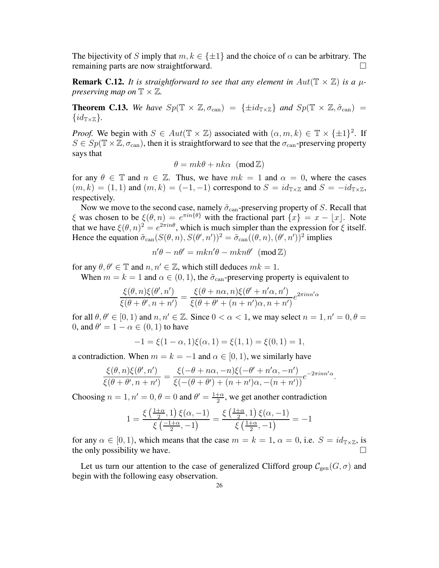The bijectivity of S imply that  $m, k \in {\pm 1}$  and the choice of  $\alpha$  can be arbitrary. The remaining parts are now straightforward. remaining parts are now straightforward.

<span id="page-25-0"></span>**Remark C.12.** It is straightforward to see that any element in  $Aut(\mathbb{T} \times \mathbb{Z})$  is a  $\mu$ *preserving map on*  $\mathbb{T} \times \mathbb{Z}$ .

**Theorem C.13.** We have  $Sp(\mathbb{T} \times \mathbb{Z}, \sigma_{can}) = {\pm id_{\mathbb{Z} \times \mathbb{Z}}}$  and  $Sp(\mathbb{T} \times \mathbb{Z}, \tilde{\sigma}_{can}) =$  $\{id_{\mathbb{T}\times\mathbb{Z}}\}.$ 

*Proof.* We begin with  $S \in Aut(\mathbb{T} \times \mathbb{Z})$  associated with  $(\alpha, m, k) \in \mathbb{T} \times {\{\pm 1\}}^2$ . If  $S \in Sp(\mathbb{T} \times \mathbb{Z}, \sigma_{\text{can}})$ , then it is straightforward to see that the  $\sigma_{\text{can}}$ -preserving property says that

$$
\theta = mk\theta + nk\alpha \ (\text{mod }\mathbb{Z})
$$

for any  $\theta \in \mathbb{T}$  and  $n \in \mathbb{Z}$ . Thus, we have  $mk = 1$  and  $\alpha = 0$ , where the cases  $(m, k) = (1, 1)$  and  $(m, k) = (-1, -1)$  correspond to  $S = id_{\mathbb{T} \times \mathbb{Z}}$  and  $S = -id_{\mathbb{T} \times \mathbb{Z}}$ , respectively.

Now we move to the second case, namely  $\tilde{\sigma}_{\text{can}}$ -preserving property of S. Recall that ξ was chosen to be  $\xi(\theta, n) = e^{\pi i n \{\theta\}}$  with the fractional part  $\{x\} = x - \lfloor x \rfloor$ . Note that we have  $\xi(\theta, n)^2 = e^{2\pi i n\theta}$ , which is much simpler than the expression for  $\xi$  itself. Hence the equation  $\tilde{\sigma}_{can}(S(\theta, n), S(\theta', n'))^2 = \tilde{\sigma}_{can}((\theta, n), (\theta', n'))^2$  implies

$$
n'\theta - n\theta' = mkn'\theta - mkn\theta' \pmod{\mathbb{Z}}
$$

for any  $\theta, \theta' \in \mathbb{T}$  and  $n, n' \in \mathbb{Z}$ , which still deduces  $mk = 1$ .

When  $m = k = 1$  and  $\alpha \in (0, 1)$ , the  $\tilde{\sigma}_{\text{can}}$ -preserving property is equivalent to

$$
\frac{\xi(\theta,n)\xi(\theta',n')}{\xi(\theta+\theta',n+n')} = \frac{\xi(\theta+n\alpha,n)\xi(\theta'+n'\alpha,n')}{\xi(\theta+\theta'+(n+n')\alpha,n+n')}e^{2\pi i n n'\alpha}
$$

for all  $\theta$ ,  $\theta' \in [0, 1)$  and  $n, n' \in \mathbb{Z}$ . Since  $0 < \alpha < 1$ , we may select  $n = 1, n' = 0, \theta =$ 0, and  $\theta' = 1 - \alpha \in (0, 1)$  to have

$$
-1 = \xi(1 - \alpha, 1)\xi(\alpha, 1) = \xi(1, 1) = \xi(0, 1) = 1,
$$

a contradiction. When  $m = k = -1$  and  $\alpha \in [0, 1)$ , we similarly have

$$
\frac{\xi(\theta,n)\xi(\theta',n')}{\xi(\theta+\theta',n+n')}=\frac{\xi(-\theta+n\alpha,-n)\xi(-\theta'+n'\alpha,-n')}{\xi(-(\theta+\theta')+(n+n')\alpha,-(n+n'))}e^{-2\pi i n n'\alpha}.
$$

Choosing  $n = 1, n' = 0, \theta = 0$  and  $\theta' = \frac{1+\alpha}{2}$  $\frac{1+\alpha}{2}$ , we get another contradiction

$$
1=\frac{\xi\left(\frac{1+\alpha}{2},1\right)\xi(\alpha,-1)}{\xi\left(\frac{-1+\alpha}{2},-1\right)}=\frac{\xi\left(\frac{1+\alpha}{2},1\right)\xi(\alpha,-1)}{\xi\left(\frac{1+\alpha}{2},-1\right)}=-1
$$

for any  $\alpha \in [0, 1)$ , which means that the case  $m = k = 1$ ,  $\alpha = 0$ , i.e.  $S = id_{\mathbb{T} \times \mathbb{Z}}$ , is the only possibility we have.

Let us turn our attention to the case of generalized Clifford group  $\mathcal{C}_{gen}(G, \sigma)$  and begin with the following easy observation.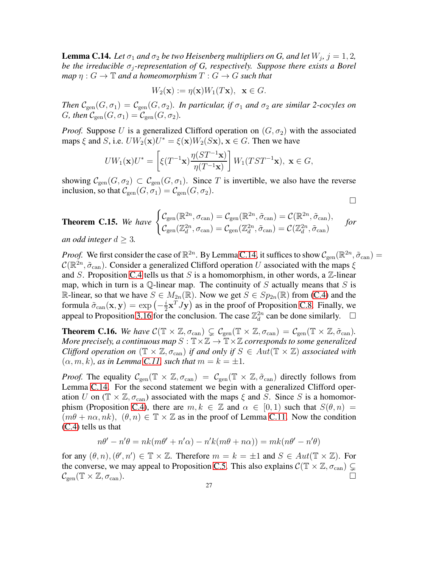<span id="page-26-0"></span>**Lemma C.14.** Let  $\sigma_1$  and  $\sigma_2$  be two Heisenberg multipliers on G, and let  $W_j$ ,  $j = 1, 2$ , *be the irreducible*  $\sigma_i$ -representation of G, respectively. Suppose there exists a Borel *map*  $\eta$  :  $G \to \mathbb{T}$  *and a homeomorphism*  $T : G \to G$  *such that* 

$$
W_2(\mathbf{x}) := \eta(\mathbf{x})W_1(T\mathbf{x}), \ \ \mathbf{x} \in G.
$$

*Then*  $\mathcal{C}_{gen}(G, \sigma_1) = \mathcal{C}_{gen}(G, \sigma_2)$ *. In particular, if*  $\sigma_1$  *and*  $\sigma_2$  *are similar 2-cocyles on G*, then  $\mathcal{C}_{\text{gen}}(G, \sigma_1) = \mathcal{C}_{\text{gen}}(G, \sigma_2)$ .

*Proof.* Suppose U is a generalized Clifford operation on  $(G, \sigma_2)$  with the associated maps  $\xi$  and S, i.e.  $U W_2(\mathbf{x}) U^* = \xi(\mathbf{x}) W_2(S\mathbf{x}), \mathbf{x} \in G$ . Then we have

$$
UW_1(\mathbf{x})U^* = \left[\xi(T^{-1}\mathbf{x})\frac{\eta(ST^{-1}\mathbf{x})}{\eta(T^{-1}\mathbf{x})}\right]W_1(TST^{-1}\mathbf{x}), \ \mathbf{x} \in G,
$$

showing  $C_{gen}(G, \sigma_2) \subset C_{gen}(G, \sigma_1)$ . Since T is invertible, we also have the reverse inclusion, so that  $\mathcal{C}_{gen}(G, \sigma_1) = \mathcal{C}_{gen}(G, \sigma_2)$ .

$$
\Box
$$

**Theorem C.15.** We have 
$$
\begin{cases} \mathcal{C}_{gen}(\mathbb{R}^{2n}, \sigma_{can}) = \mathcal{C}_{gen}(\mathbb{R}^{2n}, \tilde{\sigma}_{can}) = \mathcal{C}(\mathbb{R}^{2n}, \tilde{\sigma}_{can}), \\ \mathcal{C}_{gen}(\mathbb{Z}_d^{2n}, \sigma_{can}) = \mathcal{C}_{gen}(\mathbb{Z}_d^{2n}, \tilde{\sigma}_{can}) = \mathcal{C}(\mathbb{Z}_d^{2n}, \tilde{\sigma}_{can}) \end{cases}
$$
 for  
an odd integer  $d \geq 3$ .

*Proof.* We first consider the case of  $\mathbb{R}^{2n}$ . By Lemma [C.14,](#page-26-0) it suffices to show  $\mathcal{C}_{\text{gen}}(\mathbb{R}^{2n}, \tilde{\sigma}_{\text{can}}) =$  $C(\mathbb{R}^{2n}, \tilde{\sigma}_{\text{can}})$ . Consider a generalized Clifford operation U associated with the maps  $\xi$ and S. Proposition [C.4](#page-21-1) tells us that S is a homomorphism, in other words, a  $\mathbb{Z}$ -linear map, which in turn is a  $\mathbb Q$ -linear map. The continuity of S actually means that S is R-linear, so that we have  $S \in M_{2n}(\mathbb{R})$ . Now we get  $S \in Sp_{2n}(\mathbb{R})$  from [\(C.4\)](#page-22-1) and the formula  $\tilde{\sigma}_{\mathrm{can}}(\mathbf{x},\mathbf{y}) = \exp\left(-\frac{i}{2}\right)$  $\frac{i}{2} \mathbf{x}^T \overline{J} \mathbf{y}$  as in the proof of Proposition [C.8.](#page-23-0) Finally, we appeal to Proposition [3.16](#page-6-4) for the conclusion. The case  $\mathbb{Z}_d^{2n}$  can be done similarly.  $\Box$ 

**Theorem C.16.** We have  $\mathcal{C}(\mathbb{T} \times \mathbb{Z}, \sigma_{\text{can}}) \subsetneq \mathcal{C}_{\text{gen}}(\mathbb{T} \times \mathbb{Z}, \sigma_{\text{can}}) = \mathcal{C}_{\text{gen}}(\mathbb{T} \times \mathbb{Z}, \tilde{\sigma}_{\text{can}})$ . *More precisely, a continuous map*  $S: \mathbb{T} \times \mathbb{Z} \to \mathbb{T} \times \mathbb{Z}$  *corresponds to some generalized Clifford operation on*  $(\mathbb{T} \times \mathbb{Z}, \sigma_{can})$  *if and only if*  $S \in Aut(\mathbb{T} \times \mathbb{Z})$  *associated with*  $(\alpha, m, k)$ *, as in Lemma [C.11,](#page-24-2) such that*  $m = k = \pm 1$ *.* 

*Proof.* The equality  $C_{gen}(\mathbb{T} \times \mathbb{Z}, \sigma_{can}) = C_{gen}(\mathbb{T} \times \mathbb{Z}, \tilde{\sigma}_{can})$  directly follows from Lemma [C.14.](#page-26-0) For the second statement we begin with a generalized Clifford operation U on ( $\mathbb{T} \times \mathbb{Z}, \sigma_{\text{can}}$ ) associated with the maps  $\xi$  and S. Since S is a homomor-phism (Proposition [C.4\)](#page-21-1), there are  $m, k \in \mathbb{Z}$  and  $\alpha \in [0, 1)$  such that  $S(\theta, n) =$  $(m\theta + n\alpha, nk), (\theta, n) \in \mathbb{T} \times \mathbb{Z}$  as in the proof of Lemma [C.11.](#page-24-2) Now the condition [\(C.4\)](#page-22-1) tells us that

$$
n\theta' - n'\theta = nk(m\theta' + n'\alpha) - n'k(m\theta + n\alpha)) = mk(n\theta' - n'\theta)
$$

for any  $(\theta, n), (\theta', n') \in \mathbb{T} \times \mathbb{Z}$ . Therefore  $m = k = \pm 1$  and  $S \in Aut(\mathbb{T} \times \mathbb{Z})$ . For the converse, we may appeal to Proposition [C.5.](#page-22-2) This also explains  $C(\mathbb{T} \times \mathbb{Z}, \sigma_{\text{can}}) \subsetneq$  $\mathcal{C}_{gen}(\mathbb{T} \times \mathbb{Z}, \sigma_{can}).$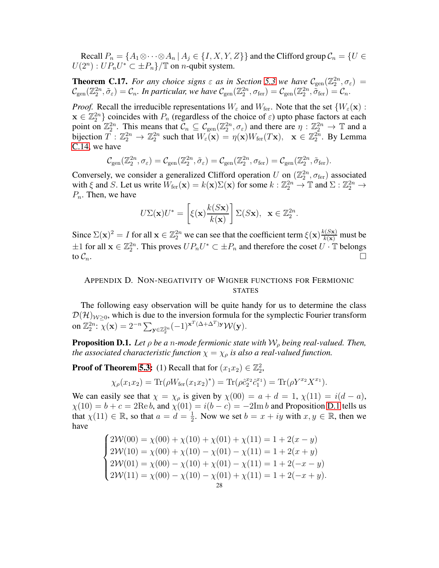Recall  $P_n = \{A_1 \otimes \cdots \otimes A_n | A_j \in \{I, X, Y, Z\}\}\$  and the Clifford group  $C_n = \{U \in$  $U(2^n) : UP_nU^* \subset \pm P_n$ }/ $\mathbb T$  on *n*-qubit system.

<span id="page-27-0"></span>**Theorem C.17.** *For any choice signs*  $\varepsilon$  *as in Section* [5.3](#page-12-0) *we have*  $C_{gen}(\mathbb{Z}_2^{2n}, \sigma_{\varepsilon}) =$  $\mathcal{C}_{gen}(\mathbb{Z}_2^{2n},\tilde{\sigma}_{\varepsilon})=\mathcal{C}_n$ . In particular, we have  $\mathcal{C}_{gen}(\mathbb{Z}_2^{2n},\sigma_{\text{fer}})=\mathcal{C}_{gen}(\mathbb{Z}_2^{2n},\tilde{\sigma}_{\text{fer}})=\mathcal{C}_n$ .

*Proof.* Recall the irreducible representations  $W_{\varepsilon}$  and  $W_{\text{fer}}$ . Note that the set  $\{W_{\varepsilon}(\mathbf{x})\}$ :  $\mathbf{x} \in \mathbb{Z}_2^{2n}$  coincides with  $P_n$  (regardless of the choice of  $\varepsilon$ ) upto phase factors at each point on  $\mathbb{Z}_2^{2n}$ . This means that  $\mathcal{C}_n \subseteq \mathcal{C}_{gen}(\mathbb{Z}_2^{2n}, \sigma_{\varepsilon})$  and there are  $\eta : \mathbb{Z}_2^{2n} \to \mathbb{T}$  and a bijection  $T : \mathbb{Z}_2^{2n} \to \mathbb{Z}_2^{2n}$  such that  $W_{\varepsilon}(\mathbf{x}) = \eta(\mathbf{x})W_{\text{fer}}(T\mathbf{x}), \quad \mathbf{x} \in \mathbb{Z}_2^{2n}$ . By Lemma [C.14,](#page-26-0) we have

$$
\mathcal{C}_{gen}(\mathbb{Z}_2^{2n}, \sigma_{\varepsilon}) = \mathcal{C}_{gen}(\mathbb{Z}_2^{2n}, \tilde{\sigma}_{\varepsilon}) = \mathcal{C}_{gen}(\mathbb{Z}_2^{2n}, \sigma_{\text{fer}}) = \mathcal{C}_{gen}(\mathbb{Z}_2^{2n}, \tilde{\sigma}_{\text{fer}}).
$$

Conversely, we consider a generalized Clifford operation U on  $(\mathbb{Z}_2^{2n}, \sigma_{\text{fer}})$  associated with  $\xi$  and S. Let us write  $W_{\text{fer}}(\mathbf{x}) = k(\mathbf{x})\Sigma(\mathbf{x})$  for some  $k : \mathbb{Z}_2^{2n} \to \mathbb{T}$  and  $\Sigma : \mathbb{Z}_2^{2n} \to \mathbb{T}$  $P_n$ . Then, we have

$$
U\Sigma(\mathbf{x})U^* = \left[\xi(\mathbf{x})\frac{k(S\mathbf{x})}{k(\mathbf{x})}\right]\Sigma(S\mathbf{x}), \ \ \mathbf{x}\in\mathbb{Z}_2^{2n}.
$$

Since  $\Sigma(\mathbf{x})^2 = I$  for all  $\mathbf{x} \in \mathbb{Z}_2^{2n}$  we can see that the coefficient term  $\xi(\mathbf{x}) \frac{k(S\mathbf{x})}{k(\mathbf{x})}$  must be  $\pm 1$  for all  $\mathbf{x} \in \mathbb{Z}_2^{2n}$ . This proves  $UP_nU^* \subset \pm P_n$  and therefore the coset  $U \cdot \mathbb{T}$  belongs to  $\mathcal{C}_n$ .

# APPENDIX D. NON-NEGATIVITY OF WIGNER FUNCTIONS FOR FERMIONIC **STATES**

The following easy observation will be quite handy for us to determine the class  $\mathcal{D}(\mathcal{H})_{\mathcal{W}\geq0}$ , which is due to the inversion formula for the symplectic Fourier transform on  $\mathbb{Z}_2^{2n}$ :  $\overline{\chi}(\mathbf{x}) = 2^{-n} \sum_{\mathbf{y} \in \mathbb{Z}_2^{2n}} (-1)^{\mathbf{x}^T(\Delta + \Delta^T)\mathbf{y}} \mathcal{W}(\mathbf{y}).$ 

<span id="page-27-1"></span>**Proposition D.1.** Let  $\rho$  be a n-mode fermionic state with  $W_{\rho}$  being real-valued. Then, *the associated characteristic function*  $\chi = \chi_{\rho}$  *is also a real-valued function.* 

**Proof of Theorem [5.3:](#page-14-1)** (1) Recall that for  $(x_1x_2) \in \mathbb{Z}_2^2$ ,

$$
\chi_{\rho}(x_1 x_2) = \text{Tr}(\rho W_{\text{fer}}(x_1 x_2)^*) = \text{Tr}(\rho \hat{c}_2^{x_2} \hat{c}_1^{x_1}) = \text{Tr}(\rho Y^{x_2} X^{x_1}).
$$

We can easily see that  $\chi = \chi_{\rho}$  is given by  $\chi(00) = a + d = 1$ ,  $\chi(11) = i(d - a)$ ,  $\chi(10) = b + c = 2$ Re b, and  $\chi(01) = i(b - c) = -2$ Im b and Proposition [D.1](#page-27-1) tells us that  $\chi(11) \in \mathbb{R}$ , so that  $a = d = \frac{1}{2}$  $\frac{1}{2}$ . Now we set  $b = x + iy$  with  $x, y \in \mathbb{R}$ , then we have

$$
\begin{cases}\n2\mathcal{W}(00) = \chi(00) + \chi(10) + \chi(01) + \chi(11) = 1 + 2(x - y) \\
2\mathcal{W}(10) = \chi(00) + \chi(10) - \chi(01) - \chi(11) = 1 + 2(x + y) \\
2\mathcal{W}(01) = \chi(00) - \chi(10) + \chi(01) - \chi(11) = 1 + 2(-x - y) \\
2\mathcal{W}(11) = \chi(00) - \chi(10) - \chi(01) + \chi(11) = 1 + 2(-x + y).\n\end{cases}
$$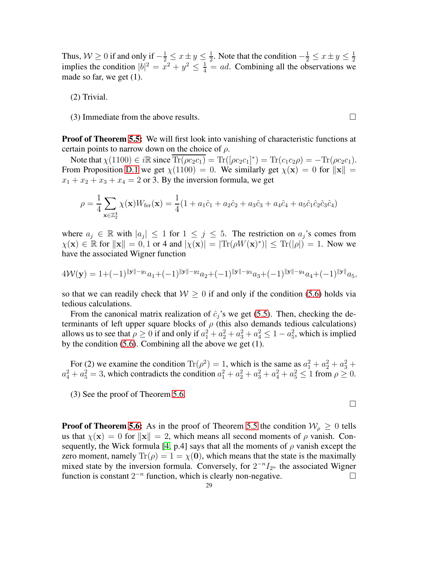Thus,  $W \ge 0$  if and only if  $-\frac{1}{2} \le x \pm y \le \frac{1}{2}$  $\frac{1}{2}$ . Note that the condition  $-\frac{1}{2} \leq x \pm y \leq \frac{1}{2}$ implies the condition  $|b|^2 = x^2 + y^2 \le \frac{1}{4} = ad$ . Combining all the observations we made so far, we get (1).

(2) Trivial.

(3) Immediate from the above results.  $\square$ 

**Proof of Theorem [5.5:](#page-14-2)** We will first look into vanishing of characteristic functions at certain points to narrow down on the choice of  $\rho$ .

Note that  $\chi(1100) \in i\mathbb{R}$  since  $\overline{\text{Tr}(\rho c_2 c_1)} = \text{Tr}([\rho c_2 c_1]^*) = \text{Tr}(c_1 c_2 \rho) = -\text{Tr}(\rho c_2 c_1)$ . From Proposition [D.1](#page-27-1) we get  $\chi(1100) = 0$ . We similarly get  $\chi(\mathbf{x}) = 0$  for  $\|\mathbf{x}\| =$  $x_1 + x_2 + x_3 + x_4 = 2$  or 3. By the inversion formula, we get

$$
\rho = \frac{1}{4} \sum_{\mathbf{x} \in \mathbb{Z}_2^4} \chi(\mathbf{x}) W_{\text{fer}}(\mathbf{x}) = \frac{1}{4} (1 + a_1 \hat{c}_1 + a_2 \hat{c}_2 + a_3 \hat{c}_3 + a_4 \hat{c}_4 + a_5 \hat{c}_1 \hat{c}_2 \hat{c}_3 \hat{c}_4)
$$

where  $a_j \in \mathbb{R}$  with  $|a_j| \leq 1$  for  $1 \leq j \leq 5$ . The restriction on  $a_j$ 's comes from  $\chi(\mathbf{x}) \in \mathbb{R}$  for  $\|\mathbf{x}\| = 0, 1$  or 4 and  $|\chi(\mathbf{x})| = |\text{Tr}(\rho W(\mathbf{x})^*)| \le \text{Tr}(|\rho|) = 1$ . Now we have the associated Wigner function

$$
4\mathcal{W}(\mathbf{y}) = 1 + (-1)^{\|\mathbf{y}\| - y_1} a_1 + (-1)^{\|\mathbf{y}\| - y_2} a_2 + (-1)^{\|\mathbf{y}\| - y_3} a_3 + (-1)^{\|\mathbf{y}\| - y_4} a_4 + (-1)^{\|\mathbf{y}\|} a_5,
$$

so that we can readily check that  $W \geq 0$  if and only if the condition [\(5.6\)](#page-14-3) holds via tedious calculations.

From the canonical matrix realization of  $\hat{c}_j$ 's we get [\(5.5\)](#page-14-0). Then, checking the determinants of left upper square blocks of  $\rho$  (this also demands tedious calculations) allows us to see that  $\rho \ge 0$  if and only if  $a_1^2 + a_2^2 + a_3^2 + a_4^2 \le 1 - a_5^2$ , which is implied by the condition [\(5.6\)](#page-14-3). Combining all the above we get (1).

For (2) we examine the condition  $\text{Tr}(\rho^2) = 1$ , which is the same as  $a_1^2 + a_2^2 + a_3^2 + a_4^2$  $a_4^2 + a_5^2 = 3$ , which contradicts the condition  $a_1^2 + a_2^2 + a_3^2 + a_4^2 + a_5^2 \le 1$  from  $\rho \ge 0$ .

 $\Box$ 

(3) See the proof of Theorem [5.6.](#page-15-0)

**Proof of Theorem [5.6:](#page-15-0)** As in the proof of Theorem [5.5](#page-14-2) the condition  $W_0 \geq 0$  tells us that  $\chi(\mathbf{x}) = 0$  for  $\|\mathbf{x}\| = 2$ , which means all second moments of  $\rho$  vanish. Con-sequently, the Wick formula [\[4,](#page-31-14) p.4] says that all the moments of  $\rho$  vanish except the zero moment, namely  $\text{Tr}(\rho) = 1 = \chi(0)$ , which means that the state is the maximally mixed state by the inversion formula. Conversely, for  $2^{-n}I_{2^n}$  the associated Wigner function is constant  $2^{-n}$  function, which is clearly non-negative. □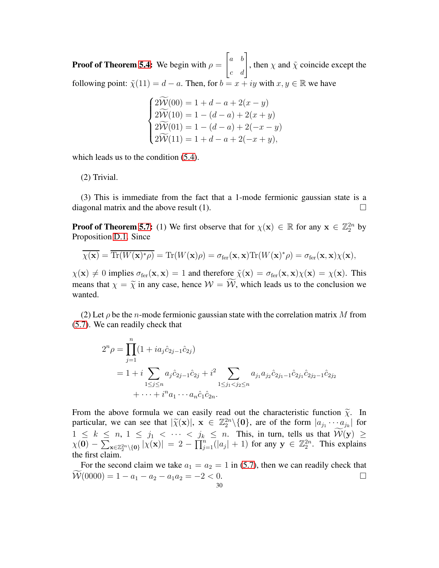**Proof of Theorem [5.4:](#page-14-4)** We begin with  $\rho =$  $\begin{bmatrix} a & b \\ c & d \end{bmatrix}$ , then  $\chi$  and  $\tilde{\chi}$  coincide except the following point:  $\tilde{\chi}(11) = d - a$ . Then, for  $b = x + iy$  with  $x, y \in \mathbb{R}$  we have

$$
\begin{cases}\n2\widetilde{\mathcal{W}}(00) = 1 + d - a + 2(x - y) \\
2\widetilde{\mathcal{W}}(10) = 1 - (d - a) + 2(x + y) \\
2\widetilde{\mathcal{W}}(01) = 1 - (d - a) + 2(-x - y) \\
2\widetilde{\mathcal{W}}(11) = 1 + d - a + 2(-x + y),\n\end{cases}
$$

which leads us to the condition  $(5.4)$ .

(2) Trivial.

(3) This is immediate from the fact that a 1-mode fermionic gaussian state is a diagonal matrix and the above result (1).  $\Box$ 

**Proof of Theorem 5.7:** (1) We first observe that for  $\chi(\mathbf{x}) \in \mathbb{R}$  for any  $\mathbf{x} \in \mathbb{Z}_2^{2n}$  by Proposition [D.1.](#page-27-1) Since

$$
\overline{\chi(\mathbf{x})} = \overline{\text{Tr}(W(\mathbf{x})^*\rho)} = \text{Tr}(W(\mathbf{x})\rho) = \sigma_{\text{fer}}(\mathbf{x}, \mathbf{x}) \text{Tr}(W(\mathbf{x})^*\rho) = \sigma_{\text{fer}}(\mathbf{x}, \mathbf{x}) \chi(\mathbf{x}),
$$

 $\chi(\mathbf{x}) \neq 0$  implies  $\sigma_{\text{fer}}(\mathbf{x}, \mathbf{x}) = 1$  and therefore  $\tilde{\chi}(\mathbf{x}) = \sigma_{\text{fer}}(\mathbf{x}, \mathbf{x}) \chi(\mathbf{x}) = \chi(\mathbf{x})$ . This means that  $\chi = \tilde{\chi}$  in any case, hence  $\mathcal{W} = \tilde{\mathcal{W}}$ , which leads us to the conclusion we wanted.

(2) Let  $\rho$  be the *n*-mode fermionic gaussian state with the correlation matrix M from [\(5.7\)](#page-15-1). We can readily check that

$$
2^{n} \rho = \prod_{j=1}^{n} (1 + ia_{j} \hat{c}_{2j-1} \hat{c}_{2j})
$$
  
=  $1 + i \sum_{1 \leq j \leq n} a_{j} \hat{c}_{2j-1} \hat{c}_{2j} + i^{2} \sum_{1 \leq j_{1} < j_{2} \leq n} a_{j_{1}} a_{j_{2}} \hat{c}_{2j_{1}-1} \hat{c}_{2j_{1}} \hat{c}_{2j_{2}-1} \hat{c}_{2j_{2}} + \cdots + i^{n} a_{1} \cdots a_{n} \hat{c}_{1} \hat{c}_{2n}.$ 

From the above formula we can easily read out the characteristic function  $\tilde{\chi}$ . In particular, we can see that  $|\widetilde{\chi}(\mathbf{x})|, \mathbf{x} \in \mathbb{Z}_2^{2n} \setminus \{0\}$ , are of the form  $|a_{j_1} \cdots a_{j_k}|$  for  $1 \leq k \leq n, 1 \leq j_1 < \cdots < j_k \leq n$ . This, in turn, tells us that  $W(y) \geq$  $\chi(\mathbf{0}) - \sum_{\mathbf{x} \in \mathbb{Z}_2^{2n} \setminus \{\mathbf{0}\}} |\chi(\mathbf{x})| = 2 - \prod_{j=1}^n (|a_j| + 1)$  for any  $\mathbf{y} \in \mathbb{Z}_2^{2n}$ . This explains the first claim.

For the second claim we take  $a_1 = a_2 = 1$  in [\(5.7\)](#page-15-1), then we can readily check that  $\widetilde{\mathcal{W}}(0000) = 1 - a_1 - a_2 - a_1 a_2 = -2 < 0.$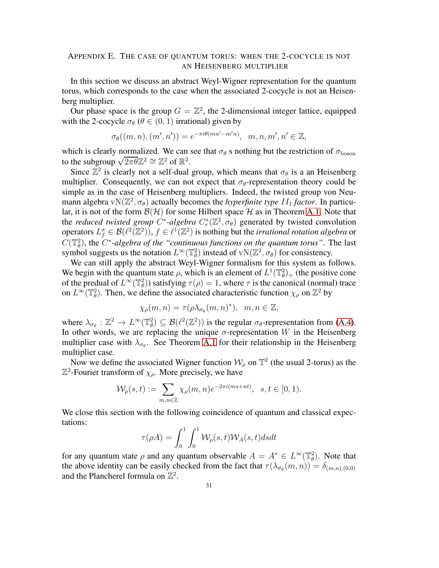# <span id="page-30-0"></span>APPENDIX E. THE CASE OF QUANTUM TORUS: WHEN THE 2-COCYCLE IS NOT AN HEISENBERG MULTIPLIER

In this section we discuss an abstract Weyl-Wigner representation for the quantum torus, which corresponds to the case when the associated 2-cocycle is not an Heisenberg multiplier.

Our phase space is the group  $G = \mathbb{Z}^2$ , the 2-dimensional integer lattice, equipped with the 2-cocycle  $\sigma_{\theta}$  ( $\theta \in (0, 1)$  irrational) given by

$$
\sigma_{\theta}((m, n), (m', n')) = e^{-\pi i \theta(mn'-m'n)}, \quad m, n, m', n' \in \mathbb{Z},
$$

which is clearly normalized. We can see that  $\sigma_{\theta}$  s nothing but the restriction of  $\sigma_{\text{boson}}$ to the subgroup  $\sqrt{2\pi\theta}\mathbb{Z}^2 \cong \mathbb{Z}^2$  of  $\mathbb{R}^2$ .

Since  $\mathbb{Z}^2$  is clearly not a self-dual group, which means that  $\sigma_{\theta}$  is a an Heisenberg multiplier. Consequently, we can not expect that  $\sigma_{\theta}$ -representation theory could be simple as in the case of Heisenberg multipliers. Indeed, the twisted group von Neumann algebra  $vN(\mathbb{Z}^2, \sigma_{\theta})$  actually becomes the *hyperfinite type II*<sub>1</sub> *factor*. In particular, it is not of the form  $\mathcal{B}(\mathcal{H})$  for some Hilbert space  $\mathcal H$  as in Theorem [A.1.](#page-17-1) Note that the *reduced twisted group*  $C^*$ -algebra  $C^*_{r}(\mathbb{Z}^2, \sigma_{\theta})$  generated by twisted convolution operators  $L_f^{\sigma} \in \mathcal{B}(\ell^2(\mathbb{Z}^2)), f \in \ell^1(\mathbb{Z}^2)$  is nothing but the *irrational rotation algebra* or  $C(\mathbb{T}_{\theta}^2)$ , the  $C^*$ -algebra of the "continuous functions on the quantum torus". The last symbol suggests us the notation  $L^{\infty}(\mathbb{T}_{\theta}^2)$  instead of  $vN(\mathbb{Z}^2, \sigma_{\theta})$  for consistency.

We can still apply the abstract Weyl-Wigner formalism for this system as follows. We begin with the quantum state  $\rho$ , which is an element of  $L^1(\mathbb{T}_{\theta}^2)_+$  (the positive cone of the predual of  $L^{\infty}(\mathbb{T}_{\theta}^2)$ ) satisfying  $\tau(\rho) = 1$ , where  $\tau$  is the canonical (normal) trace on  $L^{\infty}(\mathbb{T}_{\theta}^2)$ . Then, we define the associated characteristic function  $\chi_{\rho}$  on  $\mathbb{Z}^2$  by

$$
\chi_{\rho}(m,n)=\tau(\rho\lambda_{\sigma_{\theta}}(m,n)^{\ast}), \ \ m,n\in\mathbb{Z},
$$

where  $\lambda_{\sigma_{\theta}} : \mathbb{Z}^2 \to L^{\infty}(\mathbb{T}_{\theta}^2) \subseteq \mathcal{B}(\ell^2(\mathbb{Z}^2))$  is the regular  $\sigma_{\theta}$ -representation from [\(A.4\)](#page-17-2). In other words, we are replacing the unique  $\sigma$ -representation W in the Heisenberg multiplier case with  $\lambda_{\sigma_{\theta}}$ . See Theorem [A.1](#page-17-1) for their relationship in the Heisenberg multiplier case.

Now we define the associated Wigner function  $W_{\rho}$  on  $\mathbb{T}^2$  (the usual 2-torus) as the  $\mathbb{Z}^2$ -Fourier transform of  $\chi_{\rho}$ . More precisely, we have

$$
\mathcal{W}_\rho(s,t):=\sum_{m,n\in\mathbb{Z}}\chi_\rho(m,n)e^{-2\pi i (ms+nt)},\ \ s,t\in[0,1).
$$

We close this section with the following coincidence of quantum and classical expectations:

$$
\tau(\rho A) = \int_0^1 \int_0^1 \mathcal{W}_{\rho}(s, t) \mathcal{W}_A(s, t) ds dt
$$

for any quantum state  $\rho$  and any quantum observable  $A = A^* \in L^\infty(\mathbb{T}_{\theta}^2)$ . Note that the above identity can be easily checked from the fact that  $\tau(\lambda_{\sigma_{\theta}}(m,n)) = \delta_{(m,n),(0,0)}$ and the Plancherel formula on  $\mathbb{Z}^2$ .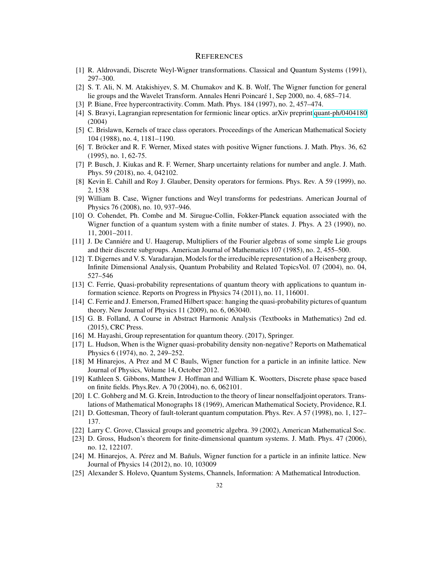# **REFERENCES**

- <span id="page-31-1"></span>[1] R. Aldrovandi, Discrete Weyl-Wigner transformations. Classical and Quantum Systems (1991), 297–300.
- <span id="page-31-15"></span>[2] S. T. Ali, N. M. Atakishiyev, S. M. Chumakov and K. B. Wolf, The Wigner function for general lie groups and the Wavelet Transform. Annales Henri Poincaré 1, Sep 2000, no. 4, 685–714.
- <span id="page-31-14"></span>[3] P. Biane, Free hypercontractivity. Comm. Math. Phys. 184 (1997), no. 2, 457–474.
- <span id="page-31-18"></span>[4] S. Bravyi, Lagrangian representation for fermionic linear optics. arXiv preprint [quant-ph/0404180](http://arxiv.org/abs/quant-ph/0404180) (2004)
- [5] C. Brislawn, Kernels of trace class operators. Proceedings of the American Mathematical Society 104 (1988), no. 4, 1181–1190.
- <span id="page-31-12"></span>[6] T. Bröcker and R. F. Werner, Mixed states with positive Wigner functions. J. Math. Phys. 36, 62 (1995), no. 1, 62-75.
- <span id="page-31-13"></span>[7] P. Busch, J. Kiukas and R. F. Werner, Sharp uncertainty relations for number and angle. J. Math. Phys. 59 (2018), no. 4, 042102.
- <span id="page-31-9"></span>[8] Kevin E. Cahill and Roy J. Glauber, Density operators for fermions. Phys. Rev. A 59 (1999), no. 2, 1538
- [9] William B. Case, Wigner functions and Weyl transforms for pedestrians. American Journal of Physics 76 (2008), no. 10, 937–946.
- <span id="page-31-11"></span>[10] O. Cohendet, Ph. Combe and M. Sirugue-Collin, Fokker-Planck equation associated with the Wigner function of a quantum system with a finite number of states. J. Phys. A 23 (1990), no. 11, 2001–2011.
- <span id="page-31-10"></span>[11] J. De Canniére and U. Haagerup, Multipliers of the Fourier algebras of some simple Lie groups and their discrete subgroups. American Journal of Mathematics 107 (1985), no. 2, 455–500.
- [12] T. Digernes and V. S. Varadarajan, Models for the irreducible representation of a Heisenberg group, Infinite Dimensional Analysis, Quantum Probability and Related TopicsVol. 07 (2004), no. 04, 527–546
- <span id="page-31-8"></span>[13] C. Ferrie, Quasi-probability representations of quantum theory with applications to quantum information science. Reports on Progress in Physics 74 (2011), no. 11, 116001.
- <span id="page-31-2"></span>[14] C. Ferrie and J. Emerson, Framed Hilbert space: hanging the quasi-probability pictures of quantum theory. New Journal of Physics 11 (2009), no. 6, 063040.
- <span id="page-31-16"></span>[15] G. B. Folland, A Course in Abstract Harmonic Analysis (Textbooks in Mathematics) 2nd ed. (2015), CRC Press.
- <span id="page-31-3"></span><span id="page-31-0"></span>[16] M. Hayashi, Group representation for quantum theory. (2017), Springer.
- [17] L. Hudson, When is the Wigner quasi-probability density non-negative? Reports on Mathematical Physics 6 (1974), no. 2, 249–252.
- [18] M Hinarejos, A Prez and M C Bauls, Wigner function for a particle in an infinite lattice. New Journal of Physics, Volume 14, October 2012.
- <span id="page-31-4"></span>[19] Kathleen S. Gibbons, Matthew J. Hoffman and William K. Wootters, Discrete phase space based on finite fields. Phys.Rev. A 70 (2004), no. 6, 062101.
- <span id="page-31-17"></span>[20] I. C. Gohberg and M. G. Krein, Introduction to the theory of linear nonselfadjoint operators. Translations of Mathematical Monographs 18 (1969), American Mathematical Society, Providence, R.I.
- <span id="page-31-7"></span>[21] D. Gottesman, Theory of fault-tolerant quantum computation. Phys. Rev. A 57 (1998), no. 1, 127– 137.
- <span id="page-31-6"></span>[22] Larry C. Grove, Classical groups and geometric algebra. 39 (2002), American Mathematical Soc.
- <span id="page-31-5"></span>[23] D. Gross, Hudson's theorem for finite-dimensional quantum systems. J. Math. Phys. 47 (2006), no. 12, 122107.
- [24] M. Hinarejos, A. Pérez and M. Bañuls, Wigner function for a particle in an infinite lattice. New Journal of Physics 14 (2012), no. 10, 103009
- [25] Alexander S. Holevo, Quantum Systems, Channels, Information: A Mathematical Introduction.